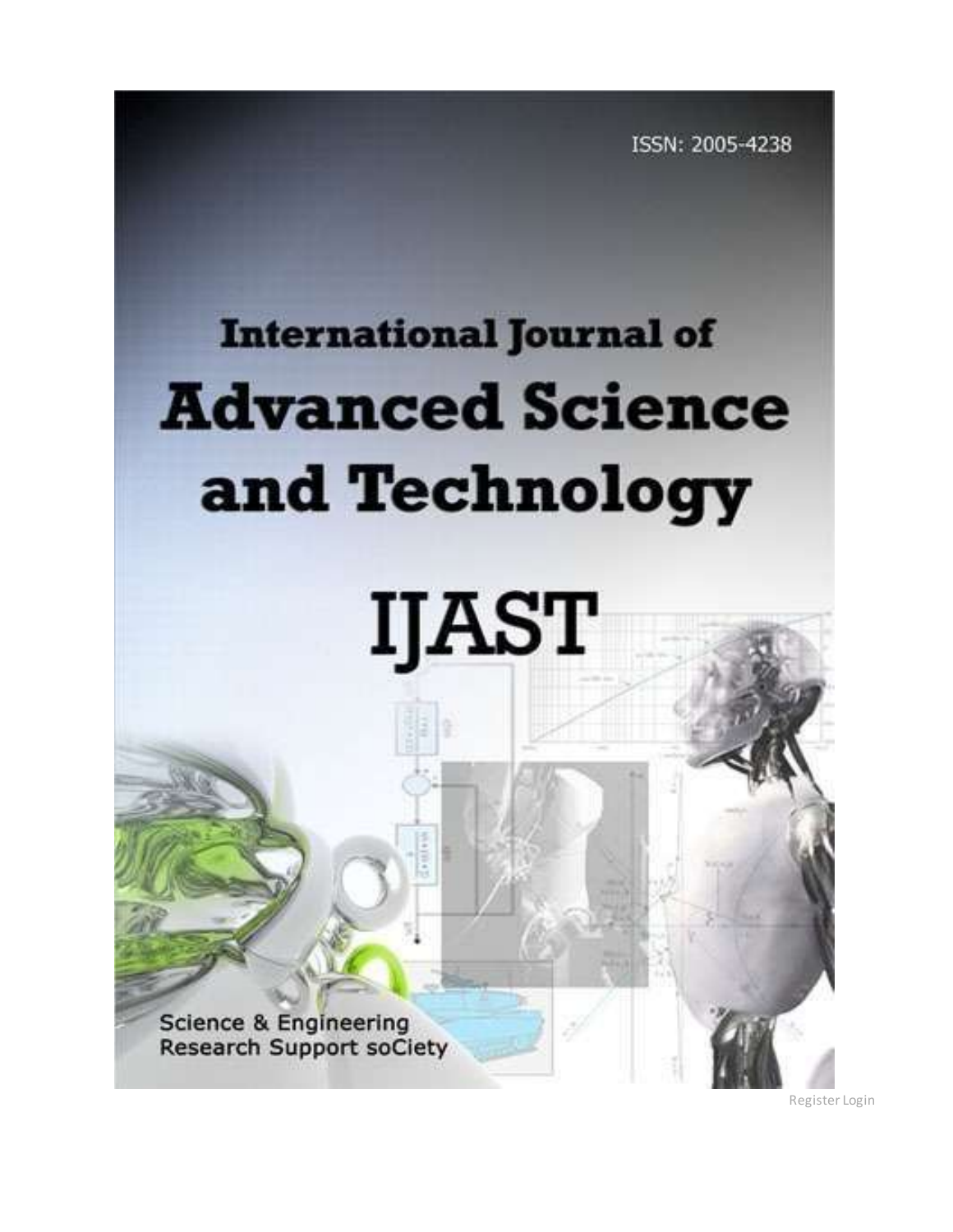ISSN: 2005-4238

## **International Journal of Advanced Science** and Technology

## **IJAST**

**Science & Engineering Research Support soCiety** 

[Register](http://sersc.org/journals/index.php/IJAST/user/register) [Login](http://sersc.org/journals/index.php/IJAST/login)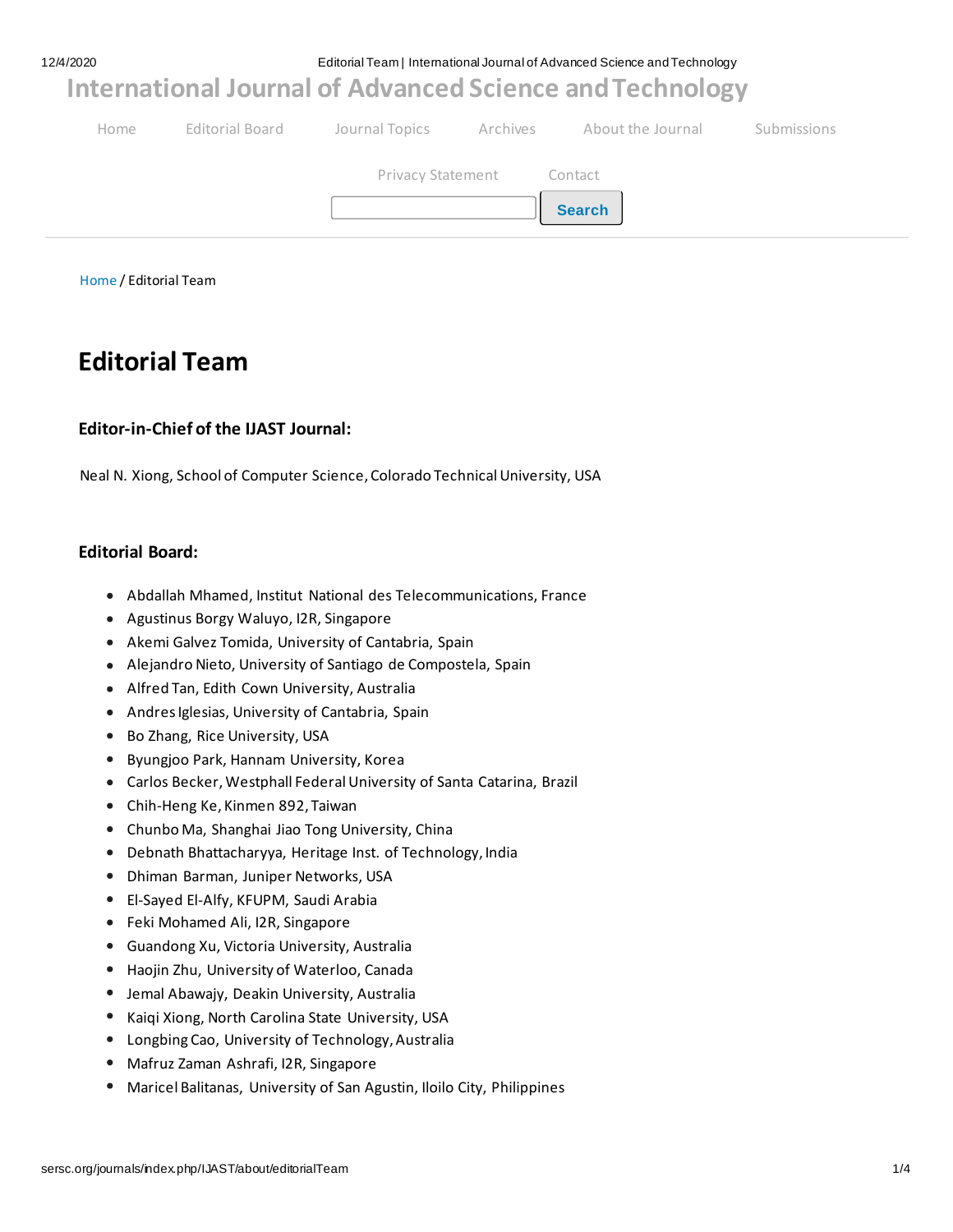12/4/2020 Editorial Team | International Journal of Advanced Science and Technology

**[International Journal of Advanced Science and Technology](http://sersc.org/journals/index.php/IJAST/index)**

| Home |                           | Editorial Board bournal Topics Archives About the Journal | Submissions |
|------|---------------------------|-----------------------------------------------------------|-------------|
|      | Privacy Statement Contact |                                                           |             |
|      |                           | <b>Search</b>                                             |             |
|      |                           |                                                           |             |

[Home](http://sersc.org/journals/index.php/IJAST/index) / Editorial Team

## **Editorial Team**

#### **Editor-in-Chief of the IJAST Journal:**

Neal N. Xiong, School of Computer Science, Colorado Technical University, USA

#### **Editorial Board:**

- Abdallah Mhamed, Institut National des Telecommunications, France
- Agustinus Borgy Waluyo, I2R, Singapore
- Akemi Galvez Tomida, University of Cantabria, Spain
- Alejandro Nieto, University of Santiago de Compostela, Spain
- Alfred Tan, Edith Cown University, Australia
- Andres Iglesias, University of Cantabria, Spain
- Bo Zhang, Rice University, USA
- Byungjoo Park, Hannam University, Korea
- Carlos Becker, Westphall Federal University of Santa Catarina, Brazil
- Chih-Heng Ke, Kinmen 892, Taiwan
- Chunbo Ma, Shanghai Jiao Tong University, China
- Debnath Bhattacharyya, Heritage Inst. of Technology, India
- Dhiman Barman, Juniper Networks, USA
- El-Sayed El-Alfy, KFUPM, Saudi Arabia
- Feki Mohamed Ali, I2R, Singapore
- Guandong Xu, Victoria University, Australia
- Haojin Zhu, University of Waterloo, Canada
- Jemal Abawajy, Deakin University, Australia
- Kaiqi Xiong, North Carolina State University, USA
- Longbing Cao, University of Technology, Australia
- Mafruz Zaman Ashrafi, I2R, Singapore
- Maricel Balitanas, University of San Agustin, Iloilo City, Philippines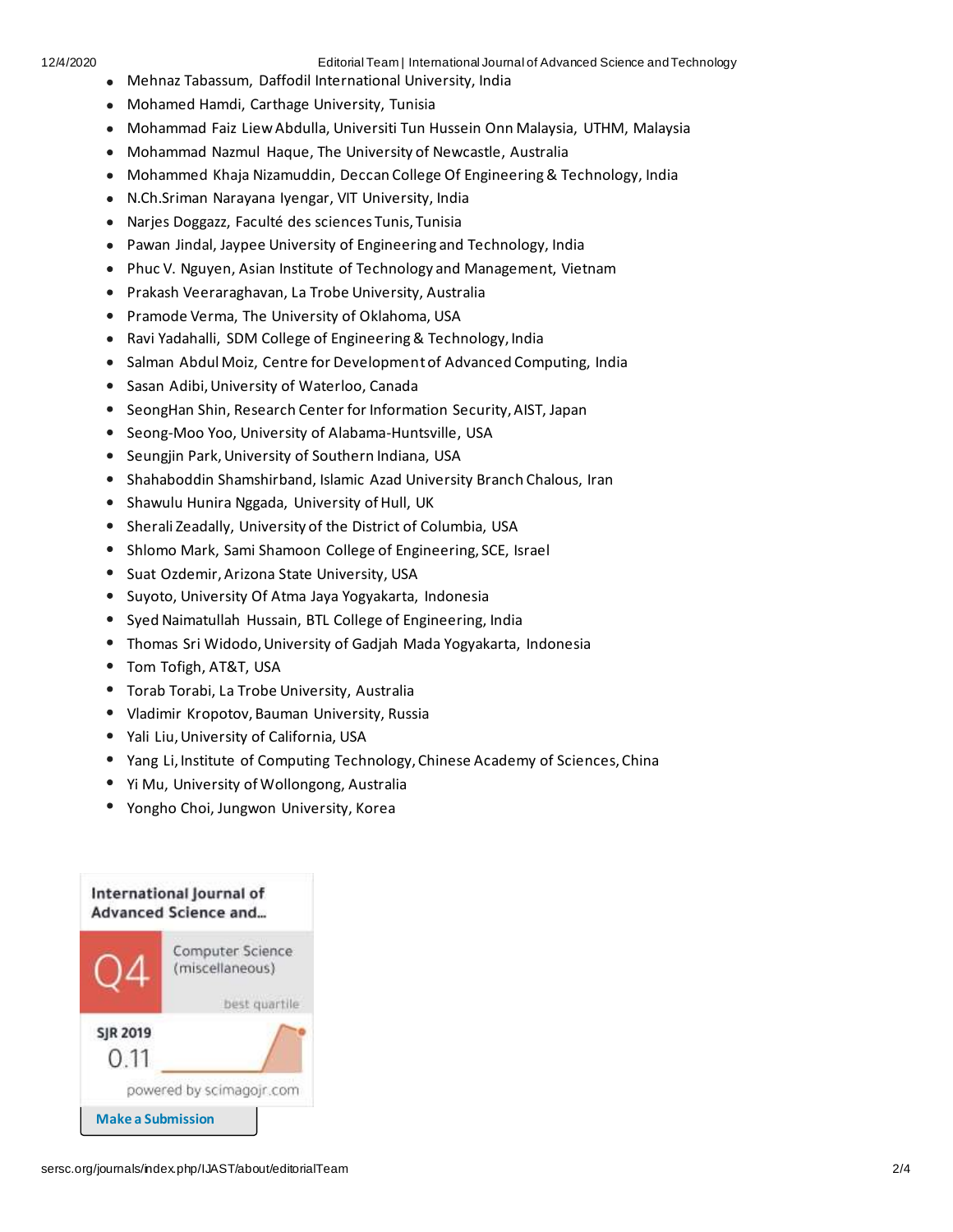12/4/2020 Editorial Team | International Journal of Advanced Science and Technology

- Mehnaz Tabassum, Daffodil International University, India
- Mohamed Hamdi, Carthage University, Tunisia
- Mohammad Faiz Liew Abdulla, Universiti Tun Hussein Onn Malaysia, UTHM, Malaysia
- Mohammad Nazmul Haque, The University of Newcastle, Australia
- Mohammed Khaja Nizamuddin, Deccan College Of Engineering & Technology, India
- N.Ch.Sriman Narayana Iyengar, VIT University, India
- Narjes Doggazz, Faculté des sciences Tunis, Tunisia
- Pawan Jindal, Jaypee University of Engineering and Technology, India
- Phuc V. Nguyen, Asian Institute of Technology and Management, Vietnam
- Prakash Veeraraghavan, La Trobe University, Australia
- Pramode Verma, The University of Oklahoma, USA
- Ravi Yadahalli, SDM College of Engineering & Technology, India
- Salman Abdul Moiz, Centre for Development of Advanced Computing, India
- Sasan Adibi, University of Waterloo, Canada
- SeongHan Shin, Research Center for Information Security, AIST, Japan
- Seong-Moo Yoo, University of Alabama-Huntsville, USA
- Seungjin Park, University of Southern Indiana, USA
- Shahaboddin Shamshirband, Islamic Azad University Branch Chalous, Iran
- Shawulu Hunira Nggada, University of Hull, UK
- Sherali Zeadally, University of the District of Columbia, USA
- Shlomo Mark, Sami Shamoon College of Engineering, SCE, Israel
- Suat Ozdemir, Arizona State University, USA
- Suyoto, University Of Atma Jaya Yogyakarta, Indonesia
- Syed Naimatullah Hussain, BTL College of Engineering, India
- Thomas Sri Widodo, University of Gadjah Mada Yogyakarta, Indonesia
- Tom Tofigh, AT&T, USA
- Torab Torabi, La Trobe University, Australia
- Vladimir Kropotov, Bauman University, Russia
- Yali Liu, University of California, USA
- Yang Li, Institute of Computing Technology, Chinese Academy of Sciences, China
- Yi Mu, University of Wollongong, Australia
- Yongho Choi, Jungwon University, Korea

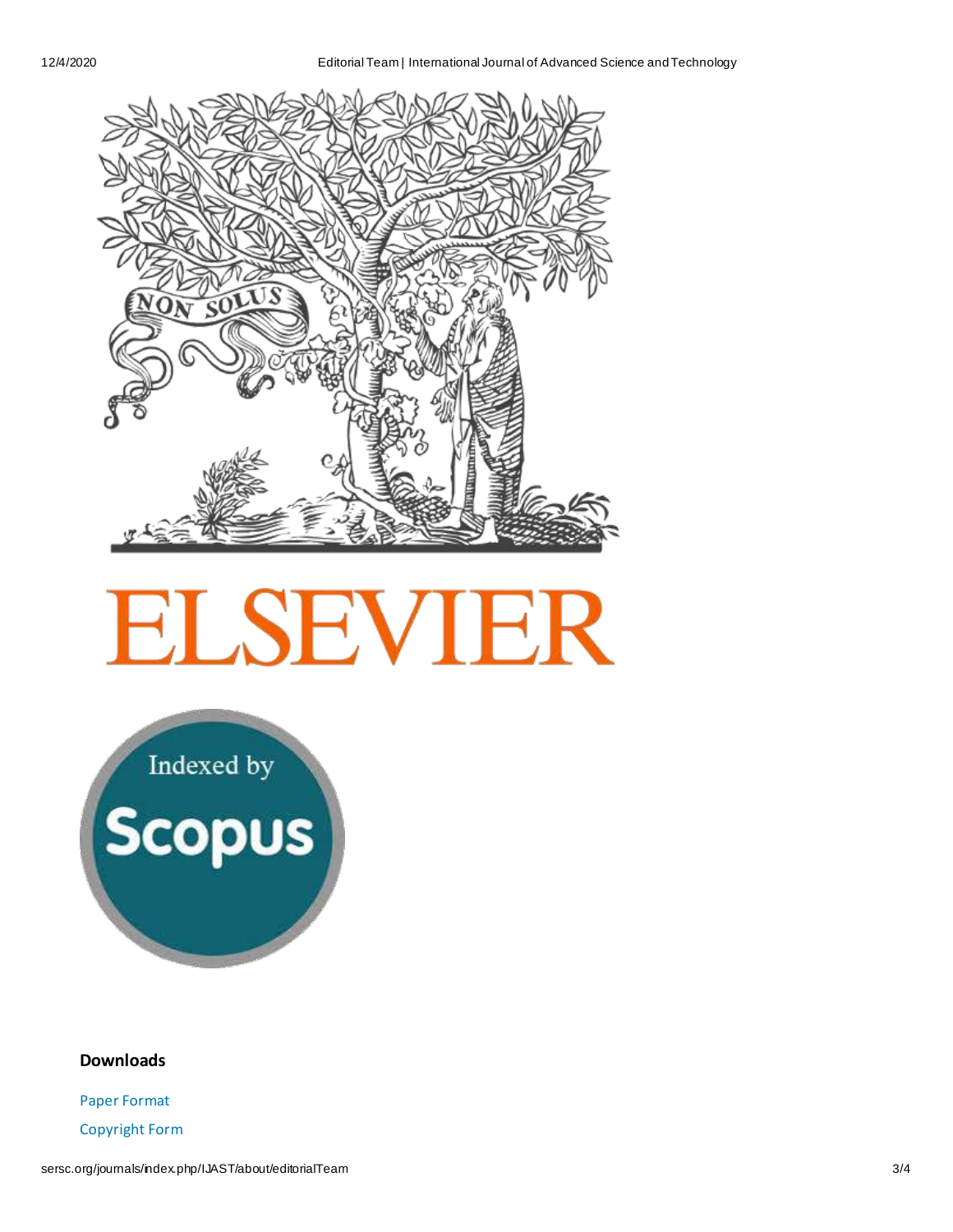

# **ELSEVIER**

Indexed by<br>Scopus

#### **Downloads**

[Paper Format](http://sersc.org/journals/downloads/PaperFormat(MS-Word).doc)

[Copyright Form](http://sersc.org/journals/downloads/SERSC%20Journal%20Copyright%20Form.pdf)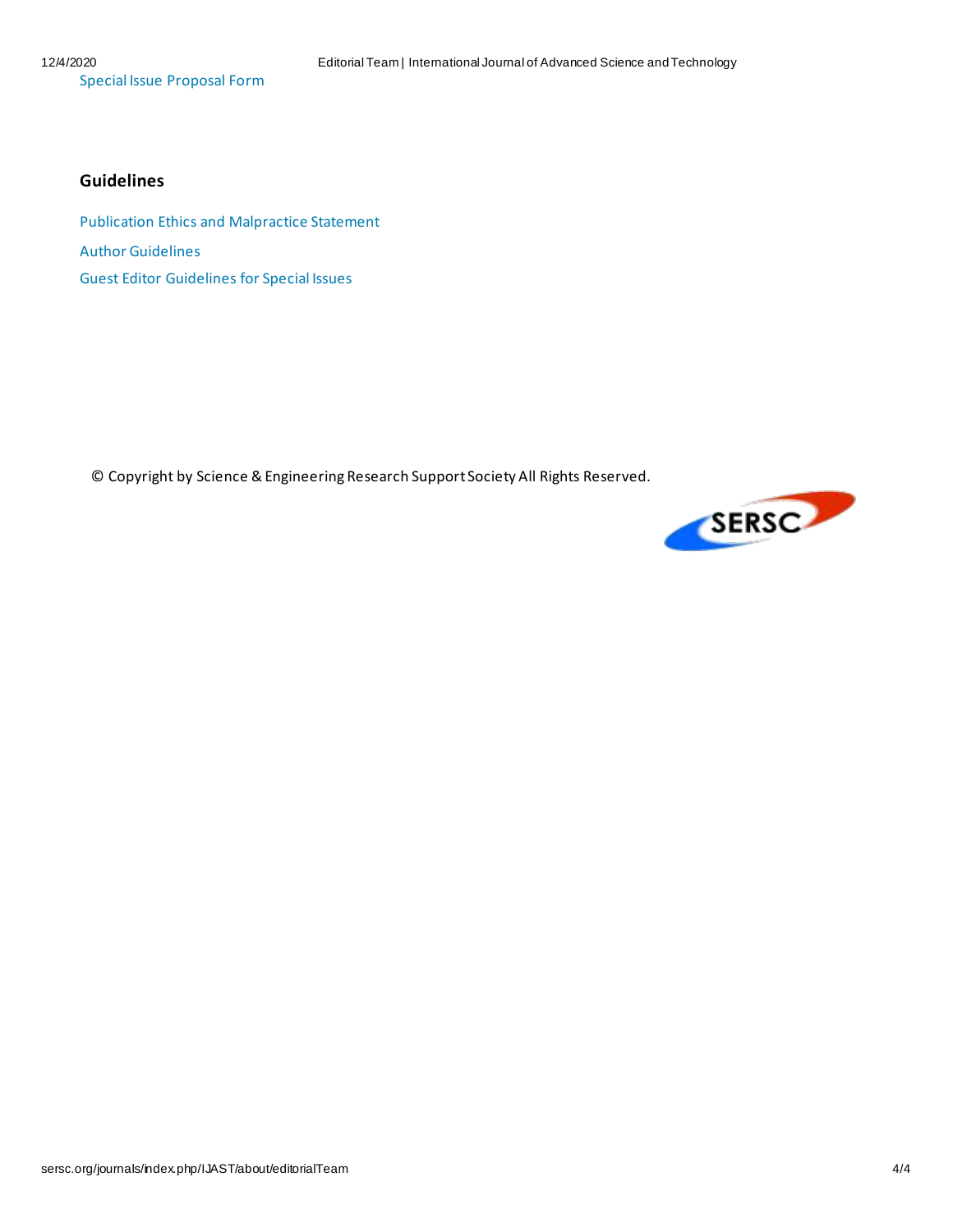[Special Issue Proposal Form](http://sersc.org/journals/downloads/SERSC%20Journal%20Special%20Issue%20Proposal%20Form.doc)

#### **Guidelines**

[Publication Ethics and Malpractice Statement](http://sersc.org/journals/downloads/SERSC%20Publication%20Ethics%20and%20Malpractice%20Statement.pdf) [Author Guidelines](http://sersc.org/journals/downloads/%5BSERSC%5D%20Author%20Guidelines.pdf) [Guest Editor Guidelines for Special Issues](http://sersc.org/journals/downloads/%5BSERSC%5DGuest%20Editor%20Guidelines%20for%20Special%20Issues.pdf)

© Copyright by Science & Engineering Research Support Society All Rights Reserved.

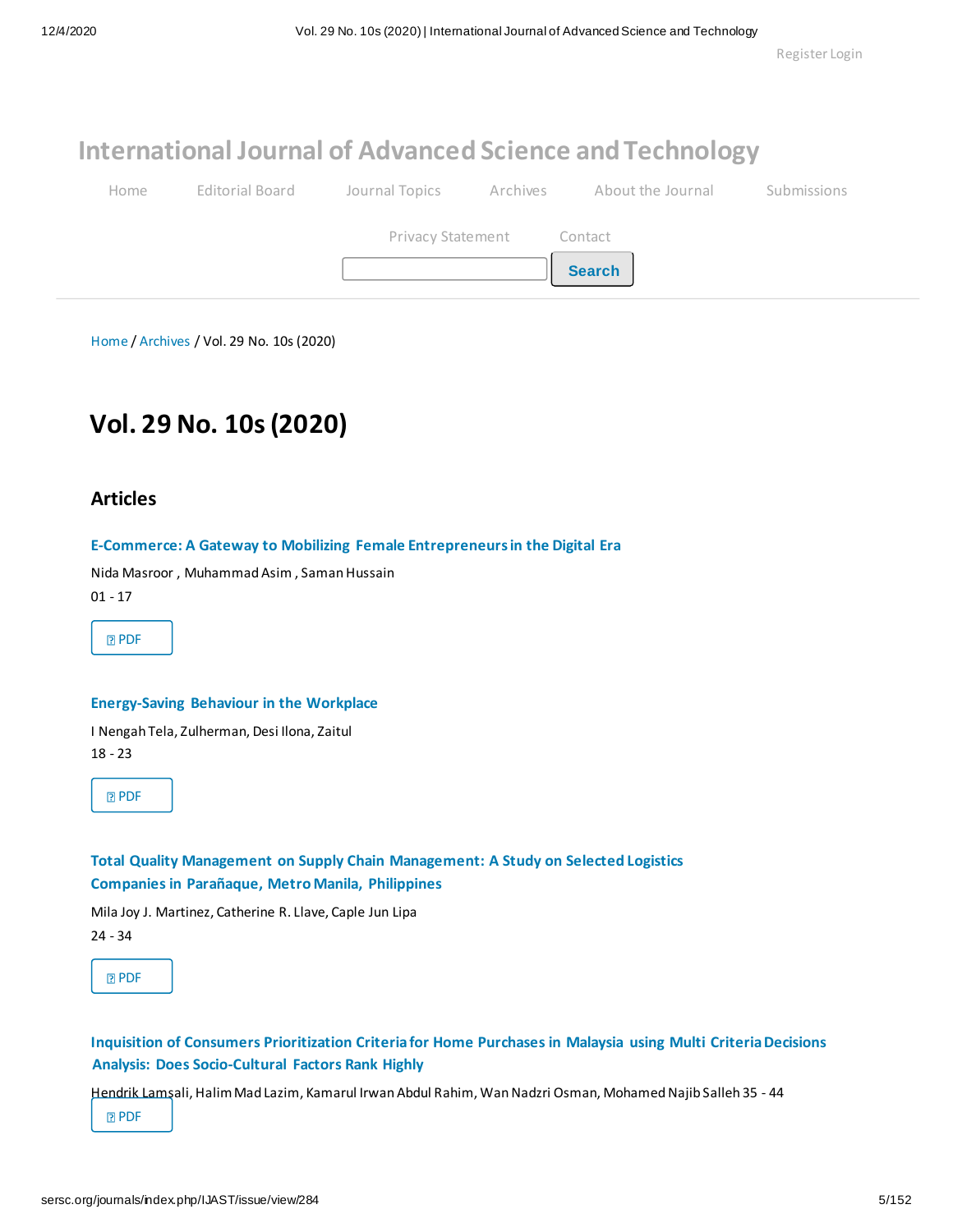## **[International Journal of Advanced Science and Technology](http://sersc.org/journals/index.php/IJAST/index)**

| Home | Editorial Board |                           | Journal Topics Archives About the Journal | <b>Submissions</b> |
|------|-----------------|---------------------------|-------------------------------------------|--------------------|
|      |                 | Privacy Statement Contact | <b>Search</b>                             |                    |

[Home](http://sersc.org/journals/index.php/IJAST/index) [/](http://sersc.org/journals/index.php/IJAST/issue/archive) [Archives](http://sersc.org/journals/index.php/IJAST/issue/archive) / Vol. 29 No. 10s (2020)

## **Vol. 29 No. 10s (2020)**

#### **Articles**

#### **[E-Commerce: A Gateway to Mobilizing Female Entrepreneurs in the Digital Era](http://sersc.org/journals/index.php/IJAST/article/view/14379)**

Nida Masroor , Muhammad Asim , Saman Hussain

01 - 17



#### **[Energy-Saving Behaviour in the Workplace](http://sersc.org/journals/index.php/IJAST/article/view/14378)**

I Nengah Tela, Zulherman, Desi Ilona, Zaitul 18 - 23

**[PDF](http://sersc.org/journals/index.php/IJAST/article/view/14378/7303)** 

#### **[Total Quality Management on Supply Chain Management: A Study on Selected Logistics](http://sersc.org/journals/index.php/IJAST/article/view/14384) [Companies in Parañaque, Metro Manila, Philippines](http://sersc.org/journals/index.php/IJAST/article/view/14384)**

Mila Joy J. Martinez, Catherine R. Llave, Caple Jun Lipa 24 - 34

**[PDF](http://sersc.org/journals/index.php/IJAST/article/view/14384/7304)** 

#### **[Inquisition of Consumers Prioritization Criteria for Home Purchases in Malaysia using Multi Criteria Decisions](http://sersc.org/journals/index.php/IJAST/article/view/14386)  [Analysis: Does Socio-Cultural Factors Rank Highly](http://sersc.org/journals/index.php/IJAST/article/view/14386)**

Hendrik Lamsali, Halim Mad Lazim, Kamarul Irwan Abdul Rahim, Wan Nadzri Osman, Mohamed Najib Salleh 35 - 44

**[PDF](http://sersc.org/journals/index.php/IJAST/article/view/14386/7305)**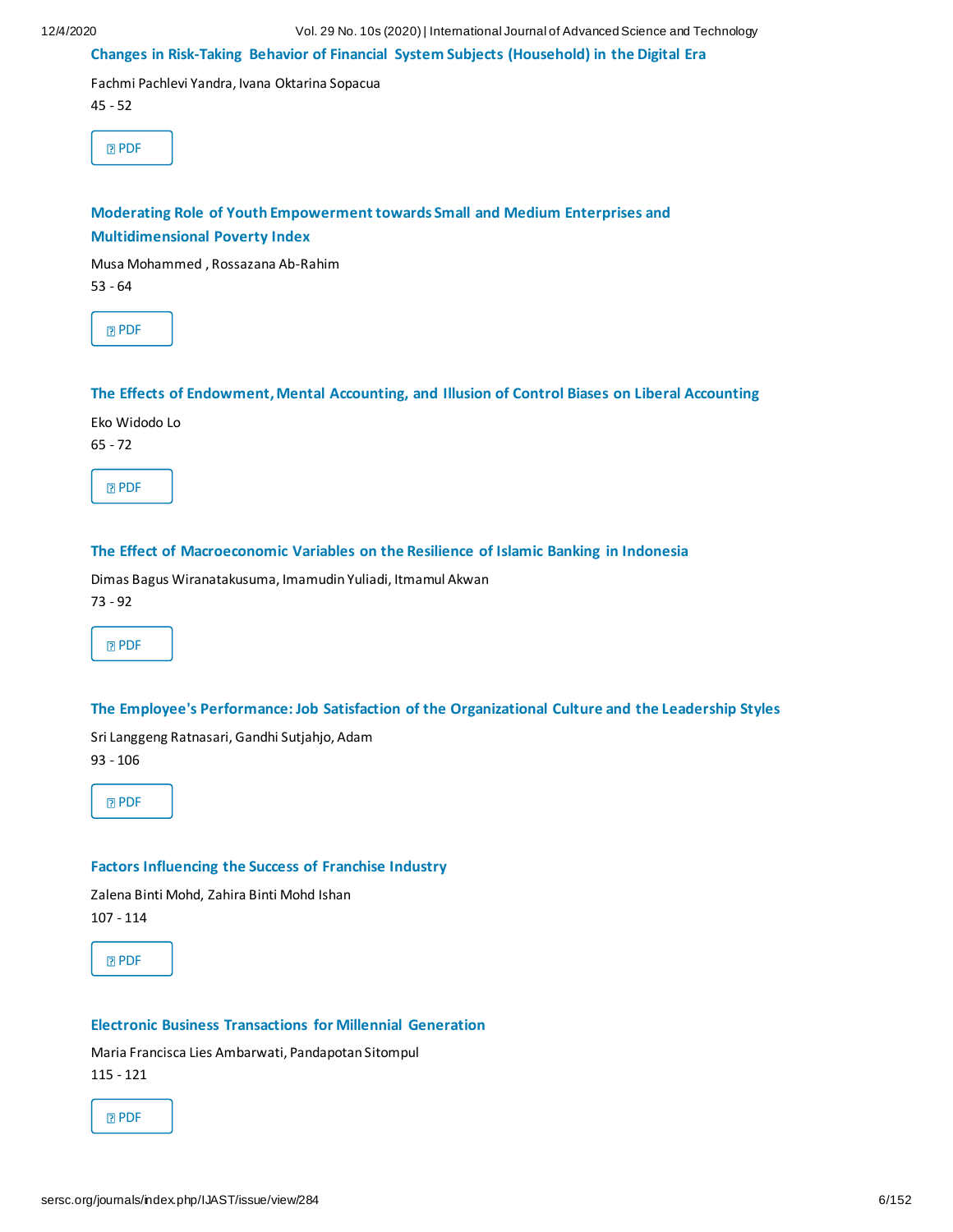#### **[Changes in Risk-Taking Behavior of Financial System Subjects \(Household\) in the Digital Era](http://sersc.org/journals/index.php/IJAST/article/view/14387)**

Fachmi Pachlevi Yandra, Ivana Oktarina Sopacua

45 - 52

**[PDF](http://sersc.org/journals/index.php/IJAST/article/view/14387/7306)** 

#### **[Moderating Role of Youth Empowerment towards Small and Medium Enterprises and](http://sersc.org/journals/index.php/IJAST/article/view/14388) [Multidimensional Poverty Index](http://sersc.org/journals/index.php/IJAST/article/view/14388)**

Musa Mohammed , Rossazana Ab-Rahim

53 - 64

**[PDF](http://sersc.org/journals/index.php/IJAST/article/view/14388/7307)** 

#### **[The Effects of Endowment, Mental Accounting, and Illusion of Control Biases on Liberal Accounting](http://sersc.org/journals/index.php/IJAST/article/view/14390)**

Eko Widodo Lo

65 - 72

**[PDF](http://sersc.org/journals/index.php/IJAST/article/view/14390/7308)** 

#### **[The Effect of Macroeconomic Variables on the Resilience of Islamic Banking in Indonesia](http://sersc.org/journals/index.php/IJAST/article/view/14391)**

Dimas Bagus Wiranatakusuma, Imamudin Yuliadi, Itmamul Akwan

73 - 92

**[PDF](http://sersc.org/journals/index.php/IJAST/article/view/14391/7309)** 

#### **[The Employee's Performance: Job Satisfaction of the Organizational Culture and the Leadership Styles](http://sersc.org/journals/index.php/IJAST/article/view/14392)**

Sri Langgeng Ratnasari, Gandhi Sutjahjo, Adam 93 - 106

**[PDF](http://sersc.org/journals/index.php/IJAST/article/view/14392/7310)** 

#### **[Factors Influencing the Success of Franchise Industry](http://sersc.org/journals/index.php/IJAST/article/view/14393)**

Zalena Binti Mohd, Zahira Binti Mohd Ishan

107 - 114

**[PDF](http://sersc.org/journals/index.php/IJAST/article/view/14393/7311)** 

#### **[Electronic Business Transactions for Millennial Generation](http://sersc.org/journals/index.php/IJAST/article/view/14395)**

Maria Francisca Lies Ambarwati, Pandapotan Sitompul 115 - 121

**[PDF](http://sersc.org/journals/index.php/IJAST/article/view/14395/7312)**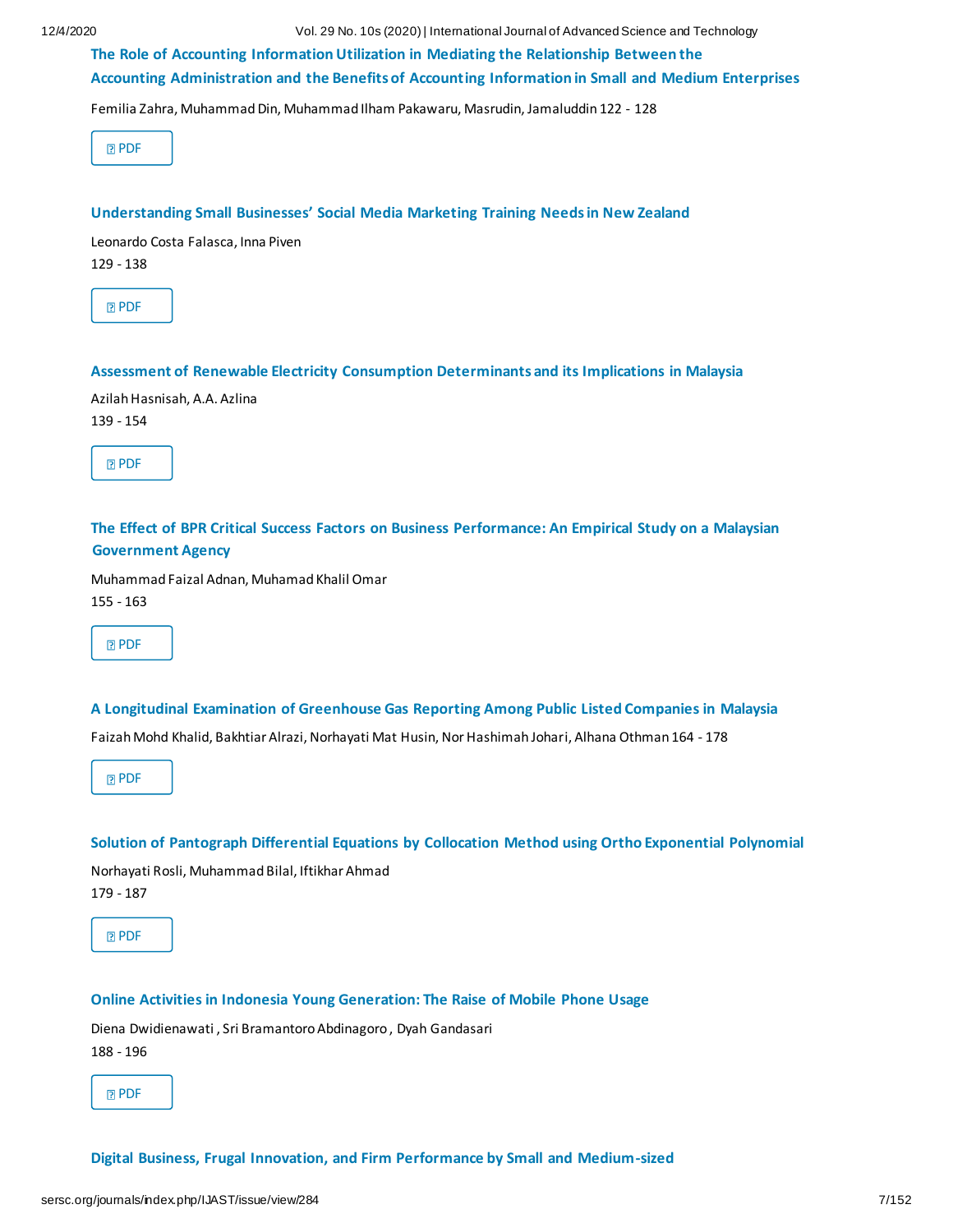12/4/2020 Vol. 29 No. 10s (2020) | International Journal of Advanced Science and Technology

**[The Role of Accounting Information Utilization in Mediating the Relationship Between the](http://sersc.org/journals/index.php/IJAST/article/view/14397) [Accounting Administration and the Benefits of Accounting Information in Small and Medium Enterprises](http://sersc.org/journals/index.php/IJAST/article/view/14397)**

Femilia Zahra, Muhammad Din, Muhammad Ilham Pakawaru, Masrudin, Jamaluddin 122 - 128

|--|--|

#### **Understanding Small Businesses' Socia[l Media Marketing Training Needs in New Zealand](http://sersc.org/journals/index.php/IJAST/article/view/14399)**

Leonardo Costa Falasca, Inna Piven

129 - 138

#### **[Assessment of Renewable Electricity Consumption Determinants and its Implications in Malaysia](http://sersc.org/journals/index.php/IJAST/article/view/14400)**

Azilah Hasnisah, A.A. Azlina 139 - 154

| ۰, |  |
|----|--|
|    |  |

#### **[The Effect of BPR Critical Success Factors on Business Performance: An Empirical Study on a Malaysian](http://sersc.org/journals/index.php/IJAST/article/view/14402)  [Government Agency](http://sersc.org/journals/index.php/IJAST/article/view/14402)**

Muhammad Faizal Adnan, Muhamad Khalil Omar 155 - 163

#### **[A Longitudinal Examination of Greenhouse Gas Reporting Among Public Listed Companies in Malaysia](http://sersc.org/journals/index.php/IJAST/article/view/14405)**

Faizah Mohd Khalid, Bakhtiar Alrazi, Norhayati Mat Husin, Nor Hashimah Johari, Alhana Othman 164 - 178

**[PDF](http://sersc.org/journals/index.php/IJAST/article/view/14405/7317)** 

#### **[Solution of Pantograph Differential Equations by Collocation Method using Ortho Exponential Polynomial](http://sersc.org/journals/index.php/IJAST/article/view/14406)**

Norhayati Rosli, Muhammad Bilal, Iftikhar Ahmad 179 - 187

**[PDF](http://sersc.org/journals/index.php/IJAST/article/view/14406/7318)** 

#### **[Online Activities in Indonesia Young Generation: The Raise of Mobile Phone Usage](http://sersc.org/journals/index.php/IJAST/article/view/14404)**

Diena Dwidienawati , Sri Bramantoro Abdinagoro , Dyah Gandasari 188 - 196

**[PDF](http://sersc.org/journals/index.php/IJAST/article/view/14404/7319)** 

**Digital Business, Frugal [Innovation, and Firm Performance by Small and Medium-sized](http://sersc.org/journals/index.php/IJAST/article/view/14407)**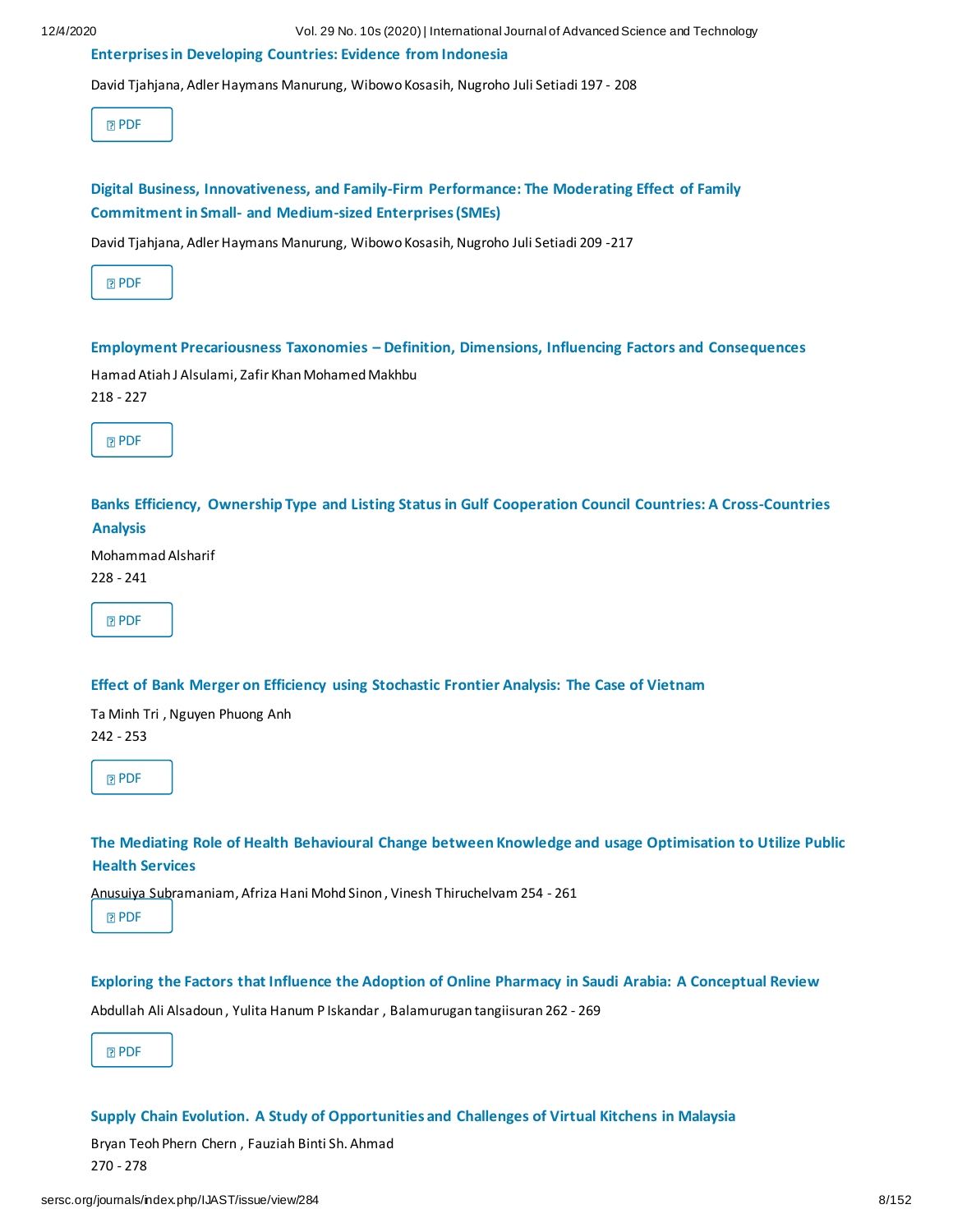#### **[Enterprises in Developing Countries: Evidence from Indonesia](http://sersc.org/journals/index.php/IJAST/article/view/14407)**

David Tjahjana, Adler Haymans Manurung, Wibowo Kosasih, Nugroho Juli Setiadi 197 - 208

**[PDF](http://sersc.org/journals/index.php/IJAST/article/view/14407/7320)** 

|  | Digital Business, Innovativeness, and Family-Firm Performance: The Moderating Effect of Family |  |  |
|--|------------------------------------------------------------------------------------------------|--|--|
|  | <b>Commitment in Small- and Medium-sized Enterprises (SMEs)</b>                                |  |  |

David Tjahjana, Adler Haymans Manurung, Wibowo Kosasih, Nugroho Juli Setiadi 209 -217

|--|

#### **Employment Precariousness Taxonomies – [Definition, Dimensions, Influencing Factors and Consequences](http://sersc.org/journals/index.php/IJAST/article/view/14408)**

Hamad Atiah J Alsulami, Zafir Khan Mohamed Makhbu 218 - 227

|--|

**[Banks Efficiency, Ownership Type and Listing Status in Gulf Cooperation Council Countries: A Cross-Countries](http://sersc.org/journals/index.php/IJAST/article/view/14410)  [Analysis](http://sersc.org/journals/index.php/IJAST/article/view/14410)**

Mohammad Alsharif 228 - 241

**[PDF](http://sersc.org/journals/index.php/IJAST/article/view/14410/7323)** 

#### **[Effect of Bank Merger on Efficiency using Stochastic Frontier Analysis: The Case of Vietnam](http://sersc.org/journals/index.php/IJAST/article/view/14417)**

Ta Minh Tri , Nguyen Phuong Anh 242 - 253

**R** [PDF](http://sersc.org/journals/index.php/IJAST/article/view/14417/7324)

**[The Mediating Role of Health Behavioural Change between Knowledge and usage Optimisation to Utilize Public](http://sersc.org/journals/index.php/IJAST/article/view/14415)  [Health Services](http://sersc.org/journals/index.php/IJAST/article/view/14415)**

Anusuiya Subramaniam, Afriza Hani Mohd Sinon , Vinesh Thiruchelvam 254 - 261

**[PDF](http://sersc.org/journals/index.php/IJAST/article/view/14415/7325)** 

**[Exploring the Factors that Influence the Adoption of Online Pharmacy in Saudi Arabia: A Conceptual Review](http://sersc.org/journals/index.php/IJAST/article/view/14418)**

Abdullah Ali Alsadoun , Yulita Hanum P Iskandar , Balamurugan tangiisuran 262 - 269

**[PDF](http://sersc.org/journals/index.php/IJAST/article/view/14418/7326)** 

#### **[Supply Chain Evolution. A Study of Opportunities and Challenges of Virtual Kitchens in Malaysia](http://sersc.org/journals/index.php/IJAST/article/view/14426)**

Bryan Teoh Phern Chern , Fauziah Binti Sh. Ahmad 270 - 278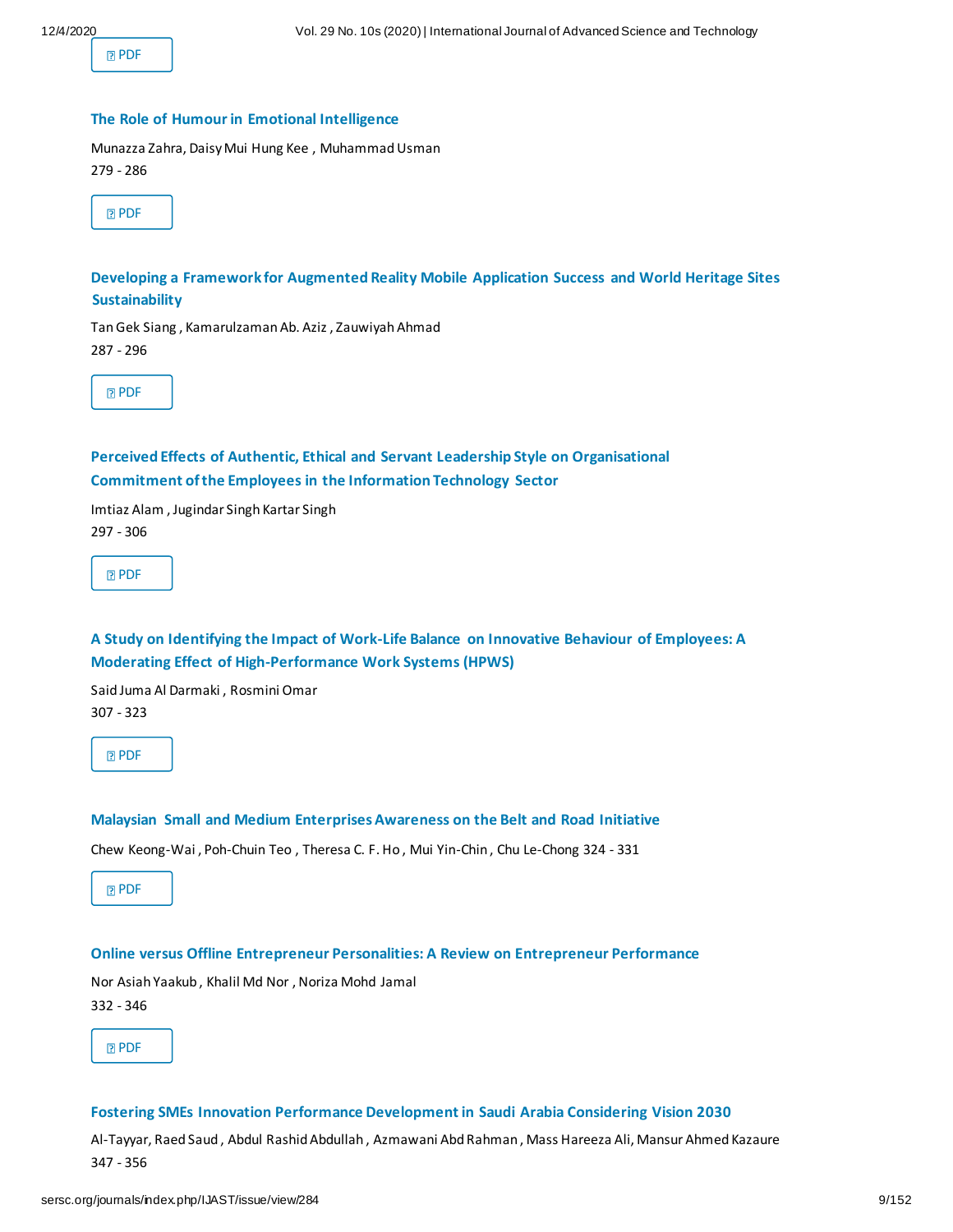**[PDF](http://sersc.org/journals/index.php/IJAST/article/view/14426/7327)** 

#### **The [Role of Humour in Emotional Intelligence](http://sersc.org/journals/index.php/IJAST/article/view/14427)**

Munazza Zahra, Daisy Mui Hung Kee , Muhammad Usman 279 - 286

**[Developing a Framework for Augmented Reality Mobile Application Success and World Heritage Sites](http://sersc.org/journals/index.php/IJAST/article/view/14429)  [Sustainability](http://sersc.org/journals/index.php/IJAST/article/view/14429)**

Tan Gek Siang , Kamarulzaman Ab. Aziz , Zauwiyah Ahmad 287 - 296

**[PDF](http://sersc.org/journals/index.php/IJAST/article/view/14429/7329)** 

#### **[Perceived Effects of Authentic, Ethical and Servant Leadership Style on Organisational](http://sersc.org/journals/index.php/IJAST/article/view/14430) [Commitment of the Employees in the Information Technology Sector](http://sersc.org/journals/index.php/IJAST/article/view/14430)**

Imtiaz Alam , Jugindar Singh Kartar Singh 297 - 306

**[PDF](http://sersc.org/journals/index.php/IJAST/article/view/14430/7330)** 

#### **[A Study on Identifying the Impact of Work-Life Balance on Innovative Behaviour of Employees: A](http://sersc.org/journals/index.php/IJAST/article/view/14431) [Moderating Effect of High-Performance Work Systems \(HPWS\)](http://sersc.org/journals/index.php/IJAST/article/view/14431)**

Said Juma Al Darmaki , Rosmini Omar 307 - 323

**[PDF](http://sersc.org/journals/index.php/IJAST/article/view/14431/7331)** 

#### **[Malaysian Small and Medium Enterprises Awareness on the Belt and](http://sersc.org/journals/index.php/IJAST/article/view/14432) Road Initiative**

Chew Keong-Wai , Poh-Chuin Teo , Theresa C. F. Ho , Mui Yin-Chin , Chu Le-Chong 324 - 331

**[PDF](http://sersc.org/journals/index.php/IJAST/article/view/14432/7332)** 

#### **[Online versus Offline Entrepreneur Personalities: A Review on Entrepreneur Performance](http://sersc.org/journals/index.php/IJAST/article/view/14433)**

Nor Asiah Yaakub , Khalil Md Nor , Noriza Mohd Jamal 332 - 346

**[PDF](http://sersc.org/journals/index.php/IJAST/article/view/14433/7333)** 

#### **[Fostering SMEs Innovation Performance Development in Saudi Arabia Considering Vision 2030](http://sersc.org/journals/index.php/IJAST/article/view/14434)**

Al-Tayyar, Raed Saud , Abdul Rashid Abdullah , Azmawani Abd Rahman , Mass Hareeza Ali, Mansur Ahmed Kazaure 347 - 356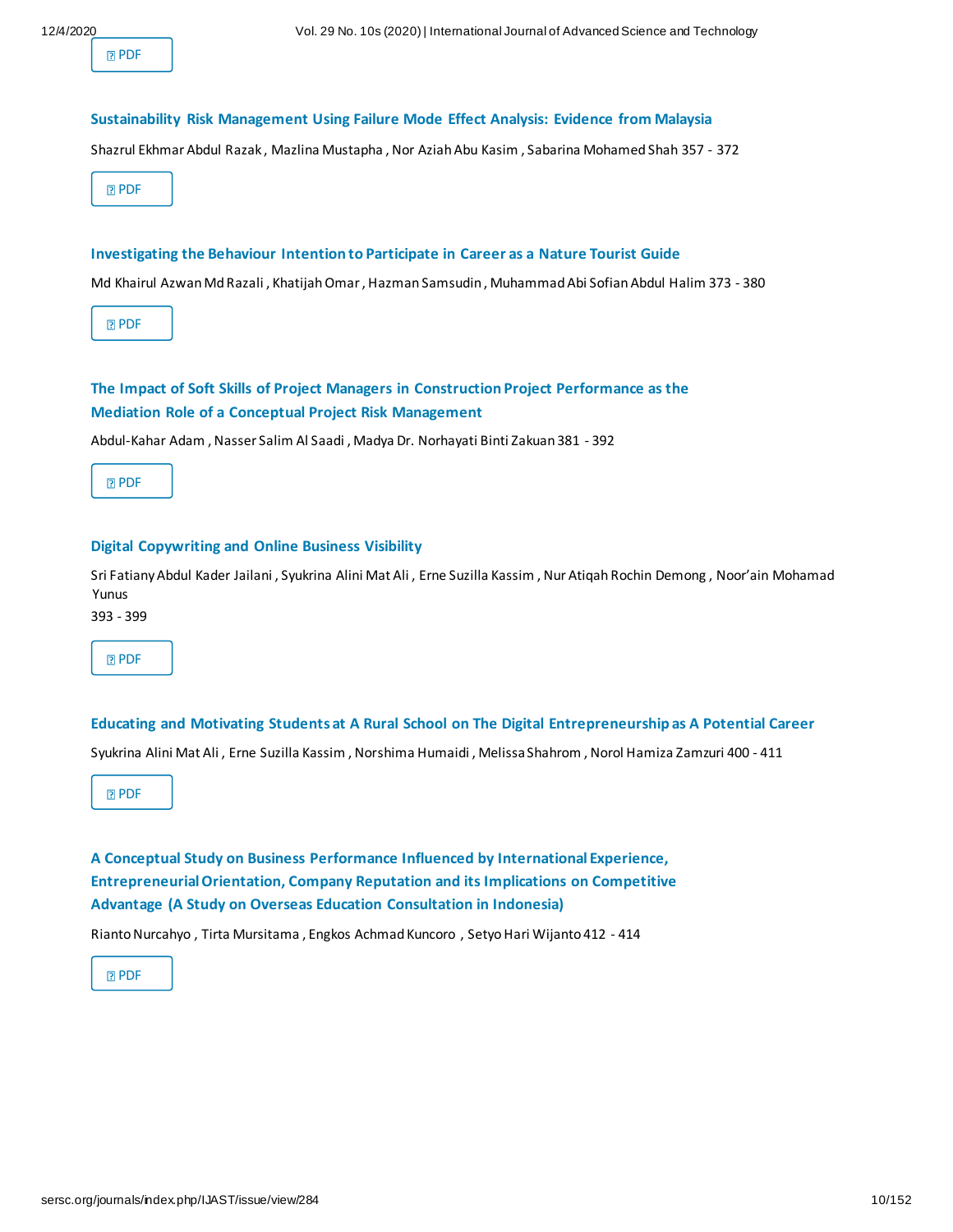| ۰, |  |
|----|--|
|----|--|

#### **[Sustainability Risk Management Using Failure Mode Effect Analysis: Evidence from Malaysia](http://sersc.org/journals/index.php/IJAST/article/view/14435)**

Shazrul Ekhmar Abdul Razak , Mazlina Mustapha , Nor Aziah Abu Kasim , Sabarina Mohamed Shah 357 - 372

**[PDF](http://sersc.org/journals/index.php/IJAST/article/view/14435/7335)** 

#### **[Investigating the Behaviour Intention to Participate in Career as a Nature Tourist Guide](http://sersc.org/journals/index.php/IJAST/article/view/14437)**

Md Khairul Azwan Md Razali , Khatijah Omar , Hazman Samsudin , Muhammad Abi Sofian Abdul Halim 373 - 380

**[PDF](http://sersc.org/journals/index.php/IJAST/article/view/14437/7336)** 

#### **[The Impact of Soft Skills of Project Managers in Construction Project Performance as the](http://sersc.org/journals/index.php/IJAST/article/view/14439) [Mediation Role of a Conceptual Project Risk Management](http://sersc.org/journals/index.php/IJAST/article/view/14439)**

Abdul-Kahar Adam , Nasser Salim Al Saadi , Madya Dr. Norhayati Binti Zakuan 381 - 392

**[PDF](http://sersc.org/journals/index.php/IJAST/article/view/14439/7337)** 

#### **[Digital Copywriting and Online Business Visibility](http://sersc.org/journals/index.php/IJAST/article/view/14440)**

Sri Fatiany Abdul Kader Jailani , Syukrina Alini Mat Ali , Erne Suzilla Kassim , Nur Atiqah Rochin Demong , Noor'ain Mohamad Yunus

393 - 399



**[Educating and Motivating Students at A Rural School on The Digital Entrepreneurship as A Potential Career](http://sersc.org/journals/index.php/IJAST/article/view/14442)** Syukrina Alini Mat Ali , Erne Suzilla Kassim , Norshima Humaidi , Melissa Shahrom , Norol Hamiza Zamzuri 400 - 411

**[PDF](http://sersc.org/journals/index.php/IJAST/article/view/14442/7339)** 

**[A Conceptual Study on Business Performance Influenced by International Experience,](http://sersc.org/journals/index.php/IJAST/article/view/14445) [Entrepreneurial Orientation, Company Reputation and its Implications on Competitive](http://sersc.org/journals/index.php/IJAST/article/view/14445) [Advantage \(A Study on Overseas Education Consultation in Indonesia\)](http://sersc.org/journals/index.php/IJAST/article/view/14445)**

Rianto Nurcahyo , Tirta Mursitama , Engkos Achmad Kuncoro , Setyo Hari Wijanto 412 - 414

**[PDF](http://sersc.org/journals/index.php/IJAST/article/view/14445/7340)**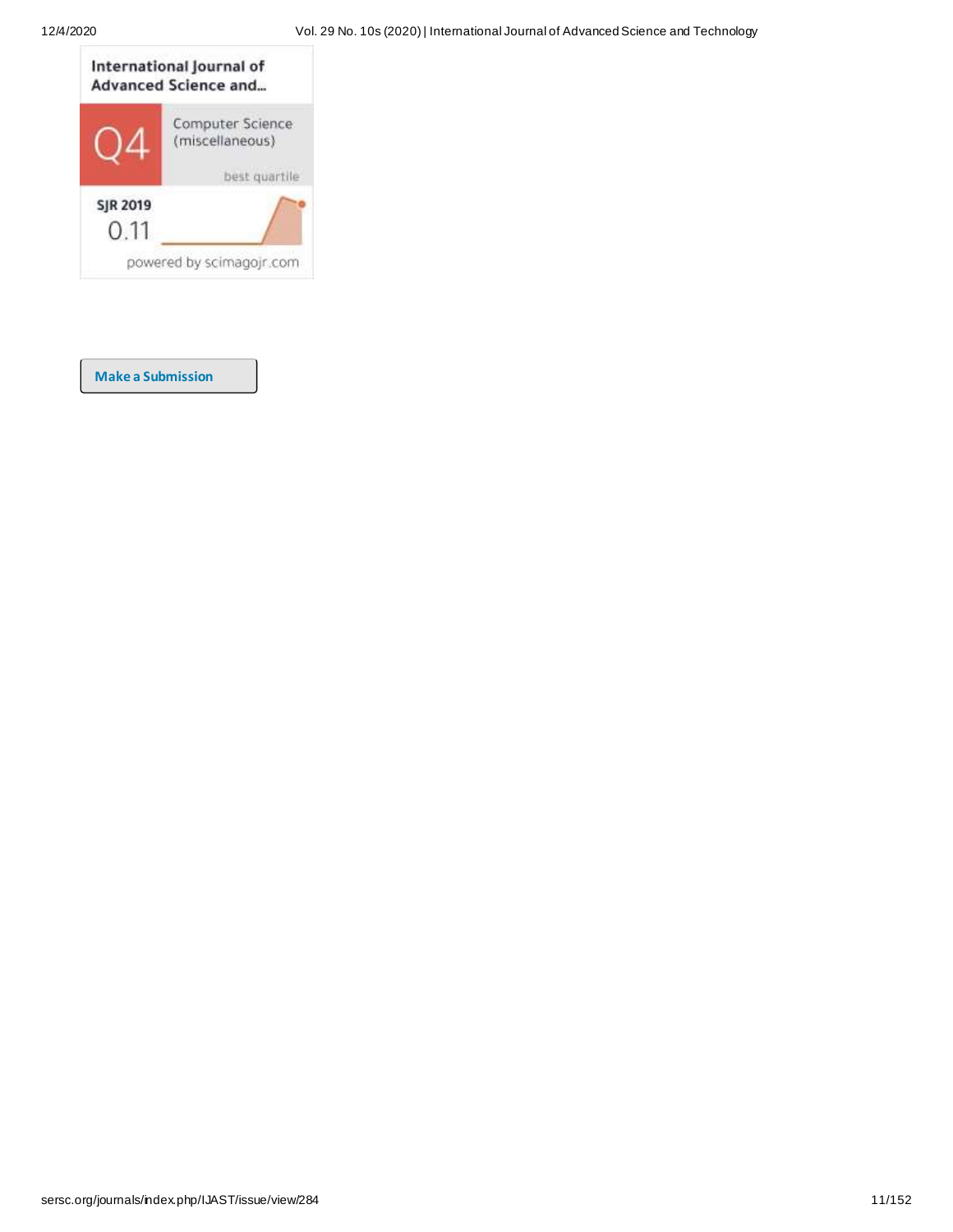

**[Make a Submission](http://sersc.org/journals/index.php/IJAST/about/submissions)**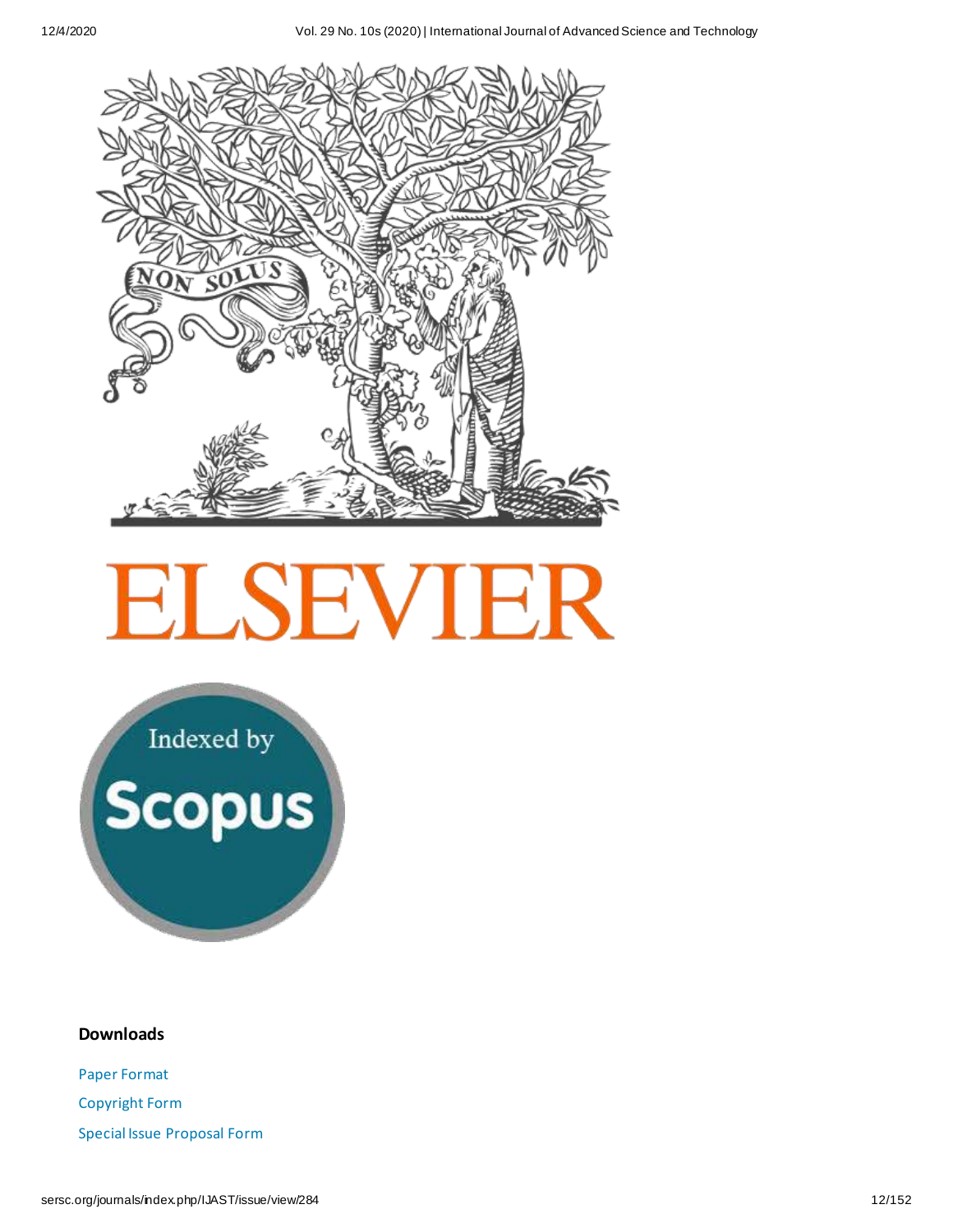

# **ELSEVIER**

Indexed by<br>Scopus

#### **Downloads**

[Paper Format](http://sersc.org/journals/downloads/PaperFormat(MS-Word).doc) [Copyright Form](http://sersc.org/journals/downloads/SERSC%20Journal%20Copyright%20Form.pdf) [Special Issue Proposal Form](http://sersc.org/journals/downloads/SERSC%20Journal%20Special%20Issue%20Proposal%20Form.doc)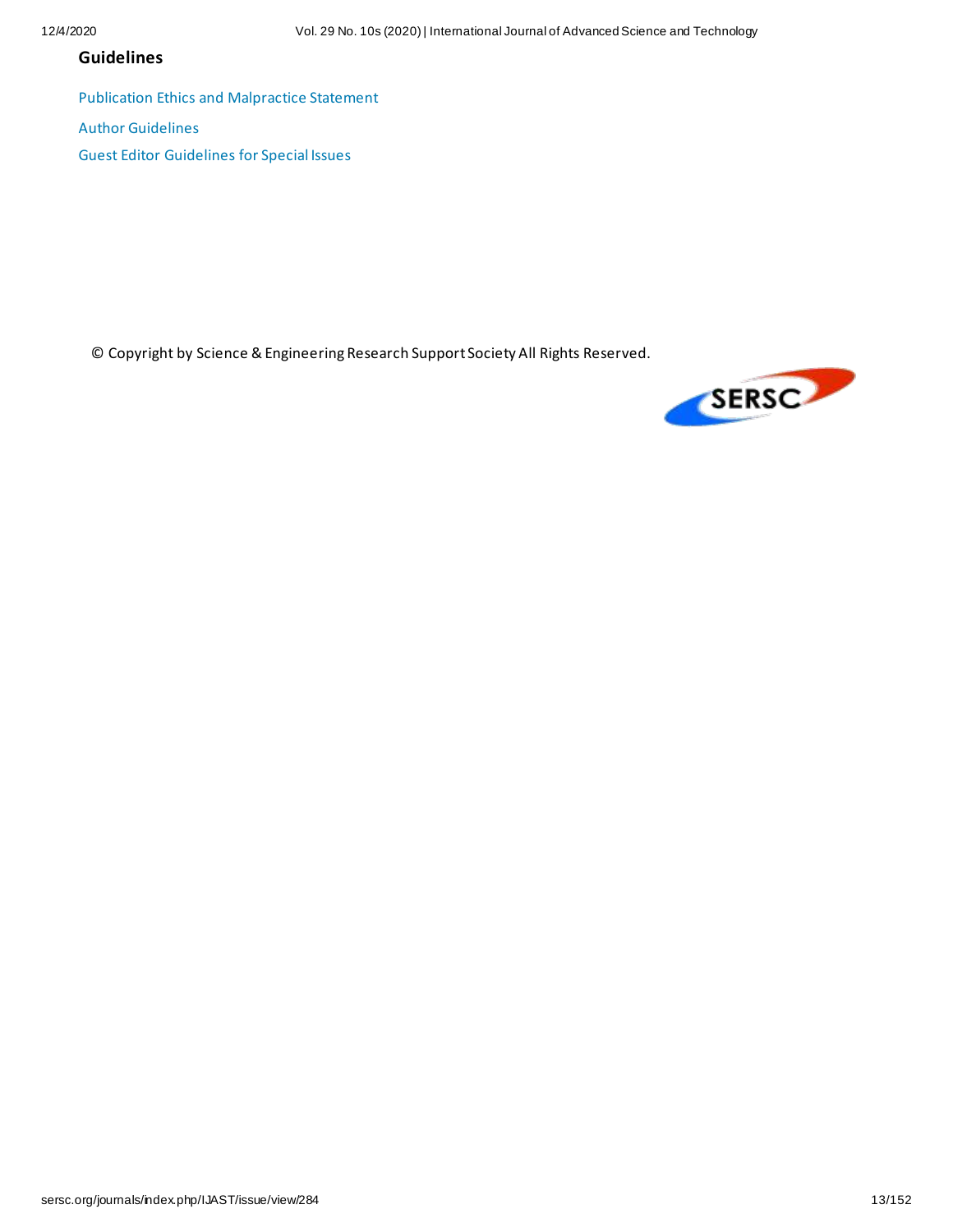#### **Guidelines**

[Publication Ethics and Malpractice Statement](http://sersc.org/journals/downloads/SERSC%20Publication%20Ethics%20and%20Malpractice%20Statement.pdf)

[Author Guidelines](http://sersc.org/journals/downloads/%5BSERSC%5D%20Author%20Guidelines.pdf)

[Guest Editor Guidelines for Special Issues](http://sersc.org/journals/downloads/%5BSERSC%5DGuest%20Editor%20Guidelines%20for%20Special%20Issues.pdf)

© Copyright by Science & Engineering Research Support Society All Rights Reserved.

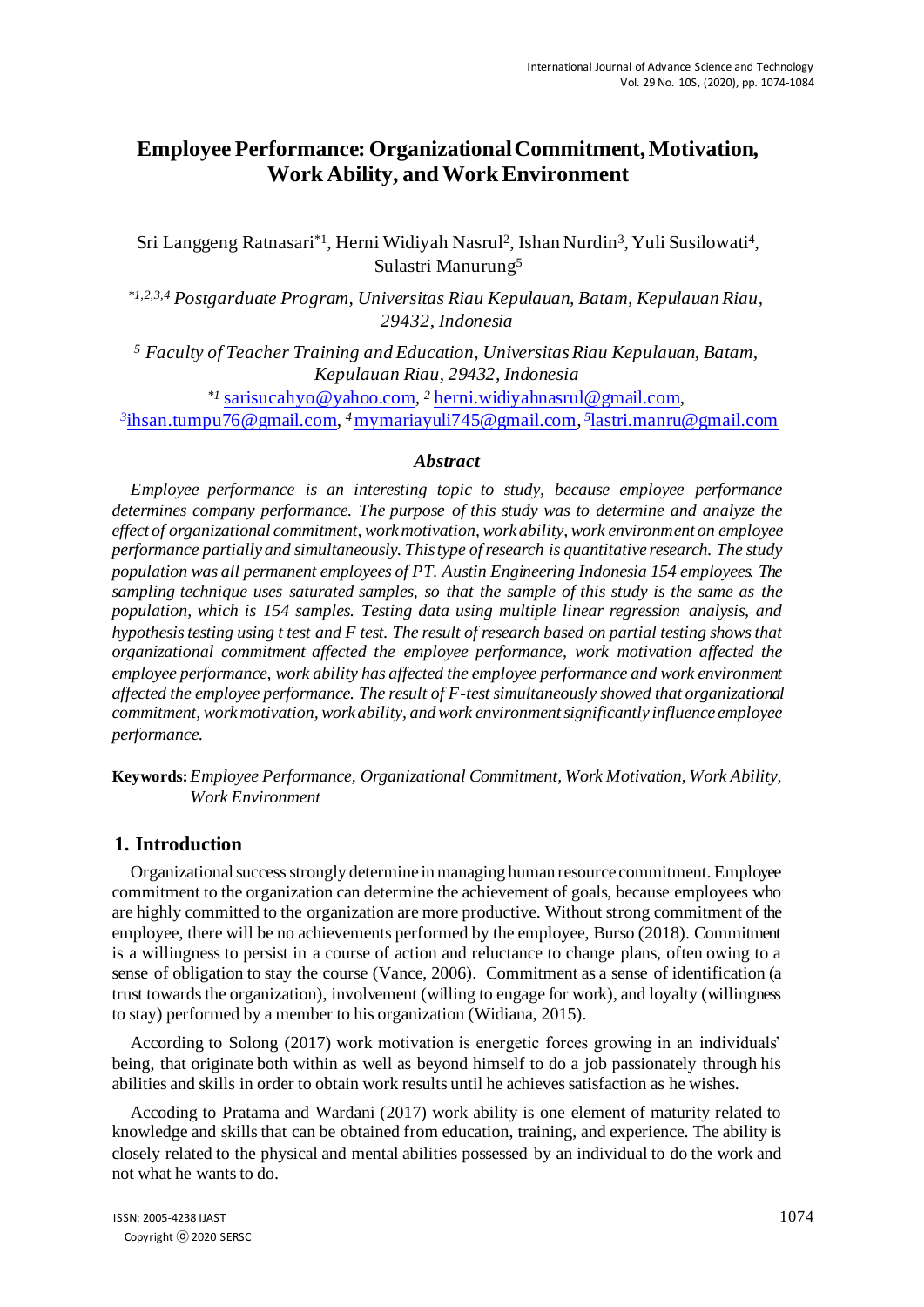### **Employee Performance: Organizational Commitment, Motivation, Work Ability, and Work Environment**

Sri Langgeng Ratnasari\*<sup>1</sup>, Herni Widiyah Nasrul<sup>2</sup>, Ishan Nurdin<sup>3</sup>, Yuli Susilowati<sup>4</sup>, Sulastri Manurung<sup>5</sup>

*\*1,2,3,4 Postgarduate Program, Universitas Riau Kepulauan, Batam, Kepulauan Riau, 29432, Indonesia* 

*<sup>5</sup> Faculty of Teacher Training and Education, Universitas Riau Kepulauan, Batam, Kepulauan Riau, 29432, Indonesia* 

*\*1* sarisucahyo@yahoo.com*, <sup>2</sup>* herni.widiyahnasrul@gmail.com*, 3* ihsan.tumpu76@gmail.com*, <sup>4</sup>*mymariayuli745@gmail.com*, 5* lastri.manru@gmail.com

#### *Abstract*

*Employee performance is an interesting topic to study, because employee performance determines company performance. The purpose of this study was to determine and analyze the effect of organizational commitment, work motivation, work ability, work environment on employee performance partially and simultaneously. This type of research is quantitative research. The study population was all permanent employees of PT. Austin Engineering Indonesia 154 employees. The sampling technique uses saturated samples, so that the sample of this study is the same as the population, which is 154 samples. Testing data using multiple linear regression analysis, and hypothesis testing using t test and F test. The result of research based on partial testing shows that organizational commitment affected the employee performance, work motivation affected the employee performance, work ability has affected the employee performance and work environment affected the employee performance. The result of F-test simultaneously showed that organizational commitment, work motivation, work ability, and work environment significantly influence employee performance.* 

**Keywords:** *Employee Performance, Organizational Commitment, Work Motivation, Work Ability, Work Environment*

#### **1. Introduction**

Organizational success strongly determine in managing human resource commitment. Employee commitment to the organization can determine the achievement of goals, because employees who are highly committed to the organization are more productive. Without strong commitment of the employee, there will be no achievements performed by the employee, Burso (2018). Commitment is a willingness to persist in a course of action and reluctance to change plans, often owing to a sense of obligation to stay the course (Vance, 2006). Commitment as a sense of identification (a trust towards the organization), involvement (willing to engage for work), and loyalty (willingness to stay) performed by a member to his organization (Widiana, 2015).

According to Solong (2017) work motivation is energetic forces growing in an individuals' being, that originate both within as well as beyond himself to do a job passionately through his abilities and skills in order to obtain work results until he achieves satisfaction as he wishes.

Accoding to Pratama and Wardani (2017) work ability is one element of maturity related to knowledge and skills that can be obtained from education, training, and experience. The ability is closely related to the physical and mental abilities possessed by an individual to do the work and not what he wants to do.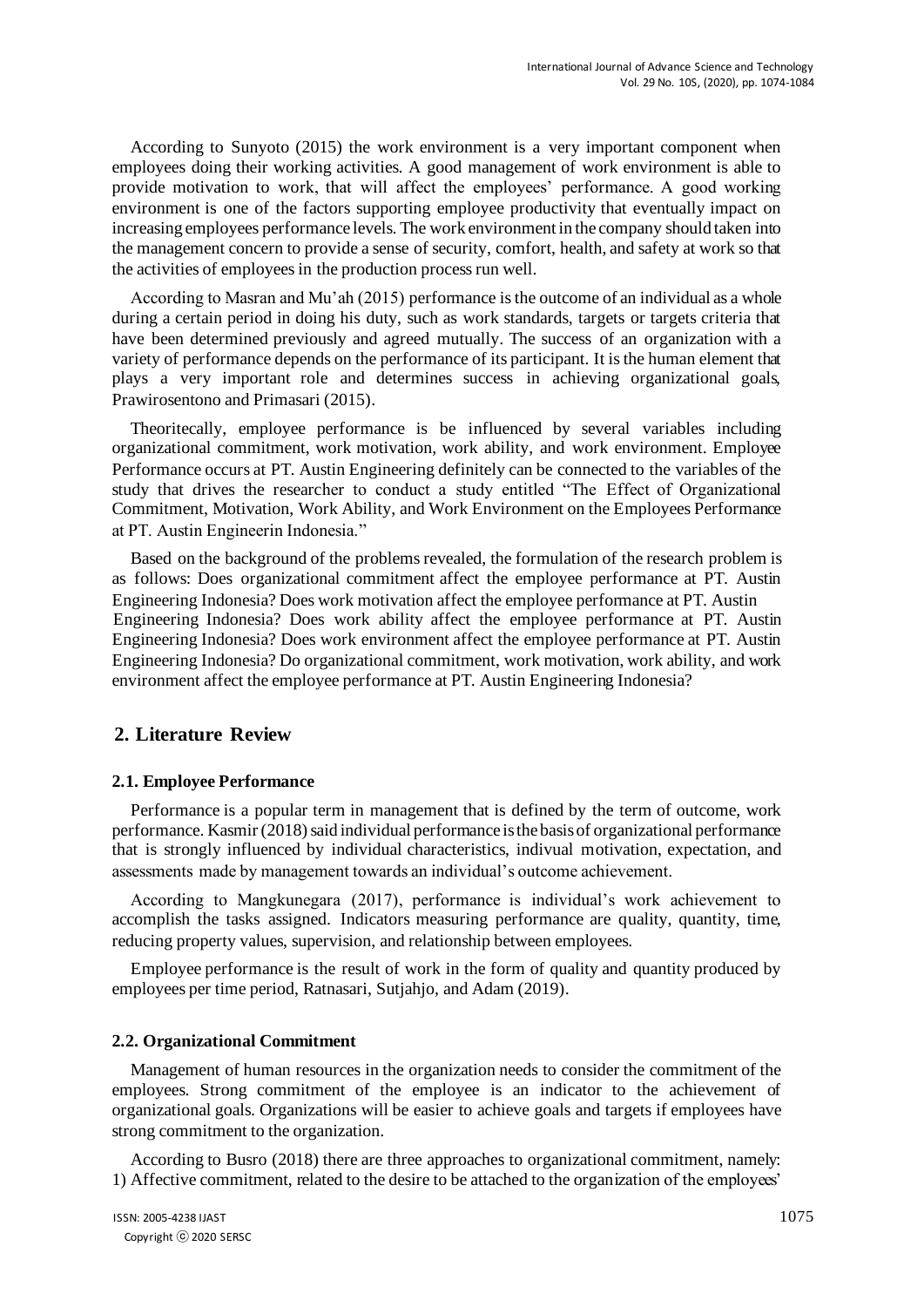According to Sunyoto (2015) the work environment is a very important component when employees doing their working activities. A good management of work environment is able to provide motivation to work, that will affect the employees' performance. A good working environment is one of the factors supporting employee productivity that eventually impact on increasing employees performance levels. The work environment in the company should taken into the management concern to provide a sense of security, comfort, health, and safety at work so that the activities of employees in the production process run well.

According to Masran and Mu'ah (2015) performance is the outcome of an individual as a whole during a certain period in doing his duty, such as work standards, targets or targets criteria that have been determined previously and agreed mutually. The success of an organization with a variety of performance depends on the performance of its participant. It is the human element that plays a very important role and determines success in achieving organizational goals, Prawirosentono and Primasari (2015).

Theoritecally, employee performance is be influenced by several variables including organizational commitment, work motivation, work ability, and work environment. Employee Performance occurs at PT. Austin Engineering definitely can be connected to the variables of the study that drives the researcher to conduct a study entitled "The Effect of Organizational Commitment, Motivation, Work Ability, and Work Environment on the Employees Performance at PT. Austin Engineerin Indonesia."

Based on the background of the problems revealed, the formulation of the research problem is as follows: Does organizational commitment affect the employee performance at PT. Austin Engineering Indonesia? Does work motivation affect the employee performance at PT. Austin Engineering Indonesia? Does work ability affect the employee performance at PT. Austin Engineering Indonesia? Does work environment affect the employee performance at PT. Austin Engineering Indonesia? Do organizational commitment, work motivation, work ability, and work environment affect the employee performance at PT. Austin Engineering Indonesia?

#### **2. Literature Review**

#### **2.1. Employee Performance**

Performance is a popular term in management that is defined by the term of outcome, work performance. Kasmir (2018) said individual performance is the basis of organizational performance that is strongly influenced by individual characteristics, indivual motivation, expectation, and assessments made by management towards an individual's outcome achievement.

According to Mangkunegara (2017), performance is individual's work achievement to accomplish the tasks assigned. Indicators measuring performance are quality, quantity, time, reducing property values, supervision, and relationship between employees.

Employee performance is the result of work in the form of quality and quantity produced by employees per time period, Ratnasari, Sutjahjo, and Adam (2019).

#### **2.2. Organizational Commitment**

Management of human resources in the organization needs to consider the commitment of the employees. Strong commitment of the employee is an indicator to the achievement of organizational goals. Organizations will be easier to achieve goals and targets if employees have strong commitment to the organization.

According to Busro (2018) there are three approaches to organizational commitment, namely: 1) Affective commitment, related to the desire to be attached to the organization of the employees'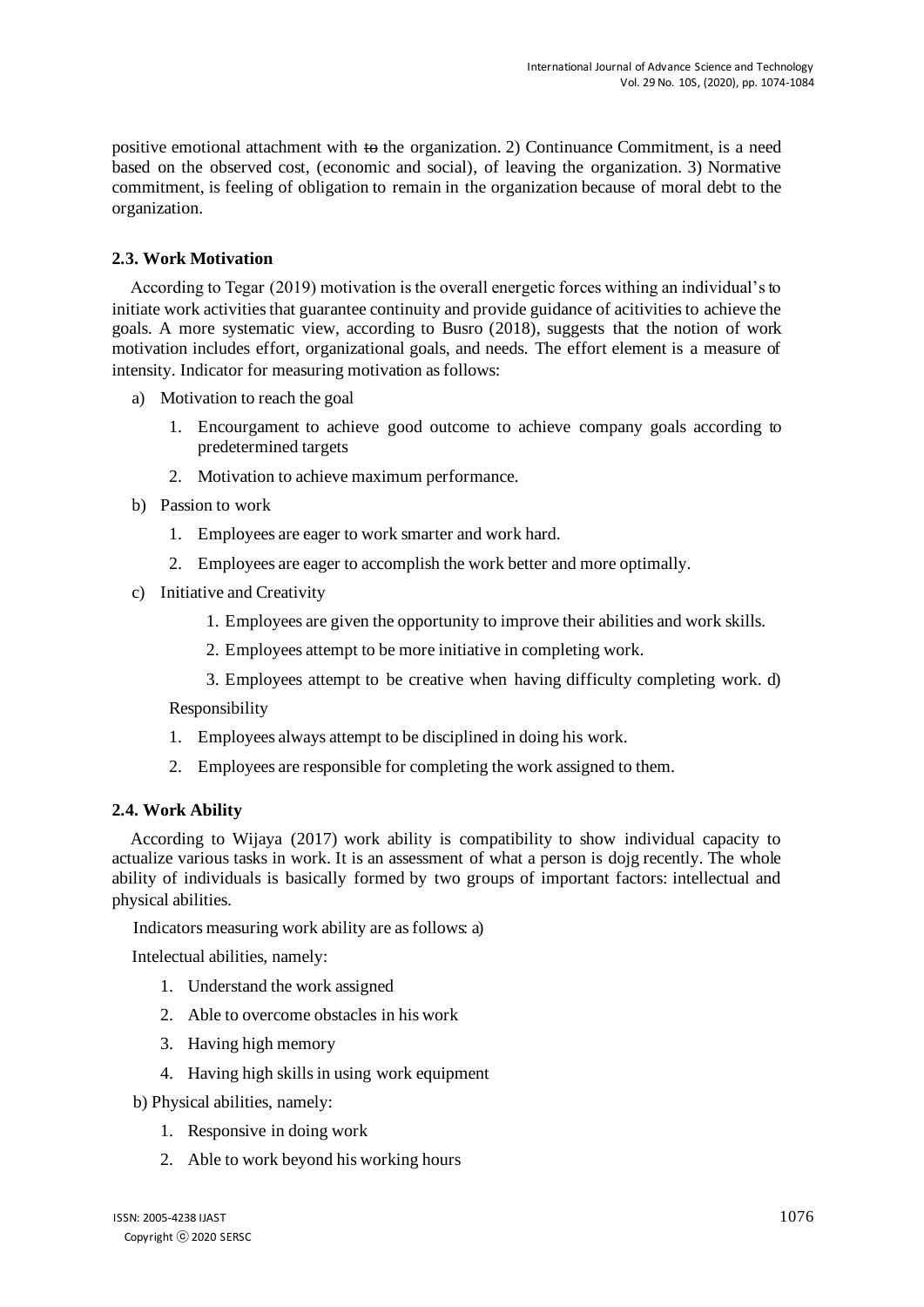positive emotional attachment with  $\leftrightarrow$  the organization. 2) Continuance Commitment, is a need based on the observed cost, (economic and social), of leaving the organization. 3) Normative commitment, is feeling of obligation to remain in the organization because of moral debt to the organization.

#### **2.3. Work Motivation**

According to Tegar (2019) motivation is the overall energetic forces withing an individual's to initiate work activities that guarantee continuity and provide guidance of acitivities to achieve the goals. A more systematic view, according to Busro (2018), suggests that the notion of work motivation includes effort, organizational goals, and needs. The effort element is a measure of intensity. Indicator for measuring motivation as follows:

- a) Motivation to reach the goal
	- 1. Encourgament to achieve good outcome to achieve company goals according to predetermined targets
	- 2. Motivation to achieve maximum performance.
- b) Passion to work
	- 1. Employees are eager to work smarter and work hard.
	- 2. Employees are eager to accomplish the work better and more optimally.
- c) Initiative and Creativity
	- 1. Employees are given the opportunity to improve their abilities and work skills.
	- 2. Employees attempt to be more initiative in completing work.
	- 3. Employees attempt to be creative when having difficulty completing work. d)

Responsibility

- 1. Employees always attempt to be disciplined in doing his work.
- 2. Employees are responsible for completing the work assigned to them.

#### **2.4. Work Ability**

According to Wijaya (2017) work ability is compatibility to show individual capacity to actualize various tasks in work. It is an assessment of what a person is dojg recently. The whole ability of individuals is basically formed by two groups of important factors: intellectual and physical abilities.

Indicators measuring work ability are as follows: a)

Intelectual abilities, namely:

- 1. Understand the work assigned
- 2. Able to overcome obstacles in his work
- 3. Having high memory
- 4. Having high skills in using work equipment
- b) Physical abilities, namely:
	- 1. Responsive in doing work
	- 2. Able to work beyond his working hours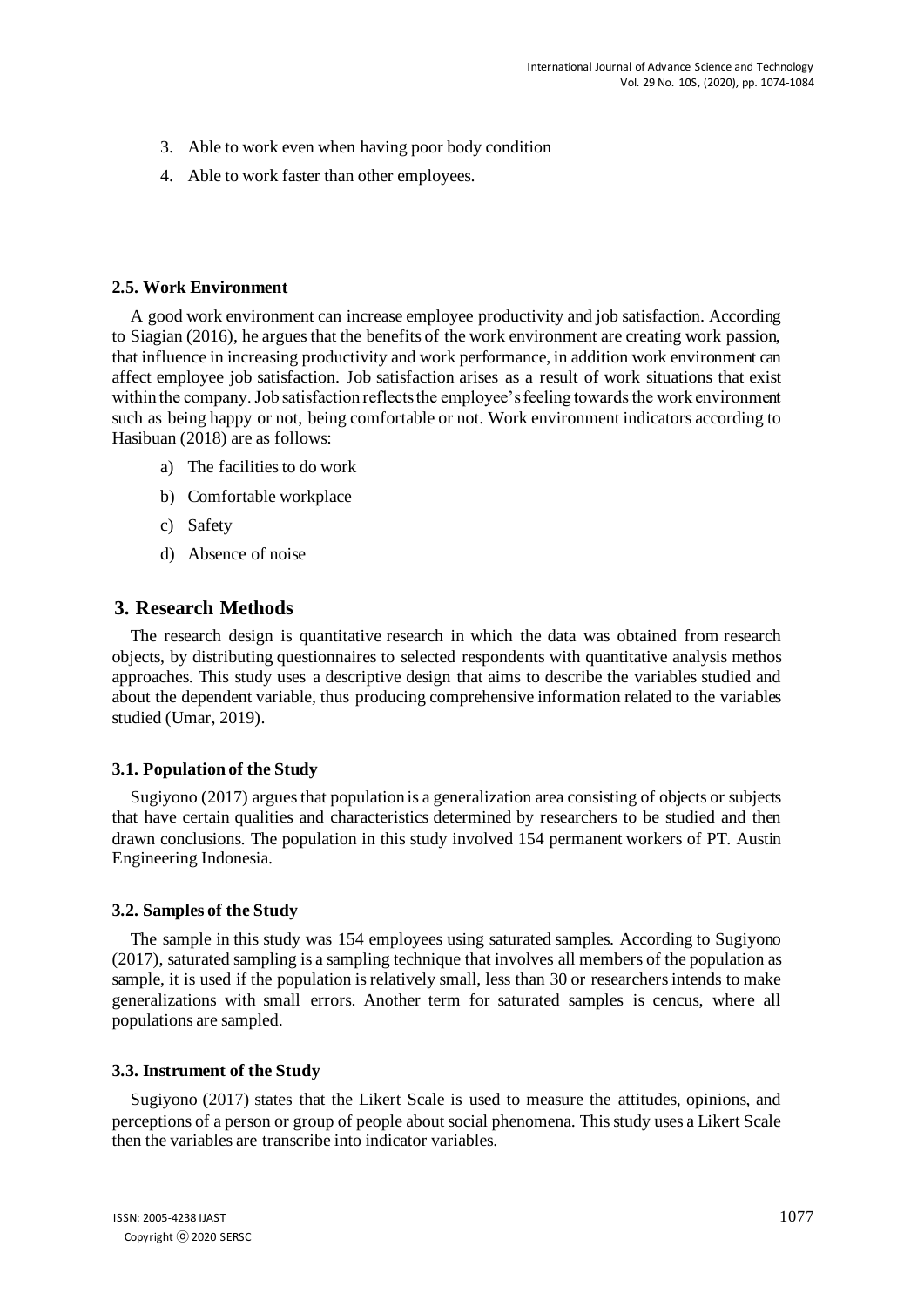- 3. Able to work even when having poor body condition
- 4. Able to work faster than other employees.

#### **2.5. Work Environment**

A good work environment can increase employee productivity and job satisfaction. According to Siagian (2016), he argues that the benefits of the work environment are creating work passion, that influence in increasing productivity and work performance, in addition work environment can affect employee job satisfaction. Job satisfaction arises as a result of work situations that exist within the company. Job satisfaction reflects the employee's feeling towards the work environment such as being happy or not, being comfortable or not. Work environment indicators according to Hasibuan (2018) are as follows:

- a) The facilities to do work
- b) Comfortable workplace
- c) Safety
- d) Absence of noise

#### **3. Research Methods**

The research design is quantitative research in which the data was obtained from research objects, by distributing questionnaires to selected respondents with quantitative analysis methos approaches. This study uses a descriptive design that aims to describe the variables studied and about the dependent variable, thus producing comprehensive information related to the variables studied (Umar, 2019).

#### **3.1. Population of the Study**

Sugiyono (2017) argues that population is a generalization area consisting of objects or subjects that have certain qualities and characteristics determined by researchers to be studied and then drawn conclusions. The population in this study involved 154 permanent workers of PT. Austin Engineering Indonesia.

#### **3.2. Samples of the Study**

The sample in this study was 154 employees using saturated samples. According to Sugiyono (2017), saturated sampling is a sampling technique that involves all members of the population as sample, it is used if the population is relatively small, less than 30 or researchers intends to make generalizations with small errors. Another term for saturated samples is cencus, where all populations are sampled.

#### **3.3. Instrument of the Study**

Sugiyono (2017) states that the Likert Scale is used to measure the attitudes, opinions, and perceptions of a person or group of people about social phenomena. This study uses a Likert Scale then the variables are transcribe into indicator variables.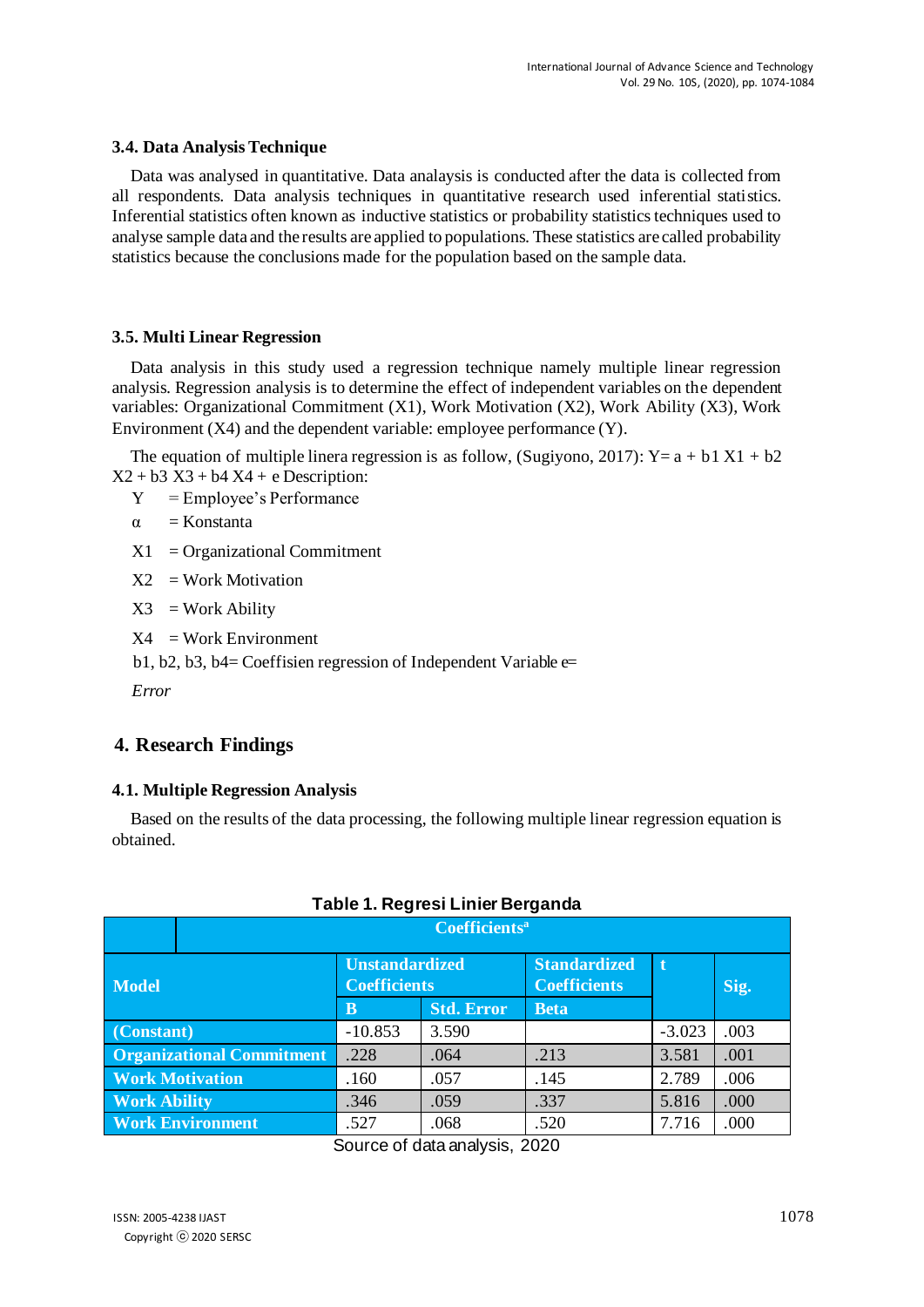#### **3.4. Data Analysis Technique**

Data was analysed in quantitative. Data analaysis is conducted after the data is collected from all respondents. Data analysis techniques in quantitative research used inferential statistics. Inferential statistics often known as inductive statistics or probability statistics techniques used to analyse sample data and the results are applied to populations. These statistics are called probability statistics because the conclusions made for the population based on the sample data.

#### **3.5. Multi Linear Regression**

Data analysis in this study used a regression technique namely multiple linear regression analysis. Regression analysis is to determine the effect of independent variables on the dependent variables: Organizational Commitment (X1), Work Motivation (X2), Work Ability (X3), Work Environment (X4) and the dependent variable: employee performance (Y).

The equation of multiple linera regression is as follow, (Sugiyono, 2017):  $Y=a + b1 X1 + b2$  $X2 + b3 X3 + b4 X4 + e$  Description:

Y = Employee's Performance

 $\alpha$  = Konstanta

 $X1 =$  Organizational Commitment

 $X2 = Work Motivation$ 

 $X3 = Work$  Ability

 $X4 = Work Environment$ 

b1, b2, b3, b4= Coeffisien regression of Independent Variable e=

*Error* 

#### **4. Research Findings**

#### **4.1. Multiple Regression Analysis**

Based on the results of the data processing, the following multiple linear regression equation is obtained.

|                                  | <b>Coefficients<sup>a</sup></b> |                                              |                   |                                            |          |      |  |  |
|----------------------------------|---------------------------------|----------------------------------------------|-------------------|--------------------------------------------|----------|------|--|--|
| <b>Model</b>                     |                                 | <b>Unstandardized</b><br><b>Coefficients</b> |                   | <b>Standardized</b><br><b>Coefficients</b> | ۱ť       | Sig. |  |  |
|                                  |                                 | $\mathbf{B}$                                 | <b>Std. Error</b> | <b>Beta</b>                                |          |      |  |  |
| (Constant)                       |                                 | $-10.853$                                    | 3.590             |                                            | $-3.023$ | .003 |  |  |
| <b>Organizational Commitment</b> |                                 | .228                                         | .064              | .213                                       | 3.581    | .001 |  |  |
| <b>Work Motivation</b>           |                                 | .160                                         | .057              | .145                                       | 2.789    | .006 |  |  |
| <b>Work Ability</b>              |                                 | .346                                         | .059              | .337                                       | 5.816    | .000 |  |  |
|                                  | <b>Work Environment</b>         | .527                                         | .068              | .520                                       | 7.716    | .000 |  |  |

#### **Table 1. Regresi Linier Berganda**

Source of data analysis, 2020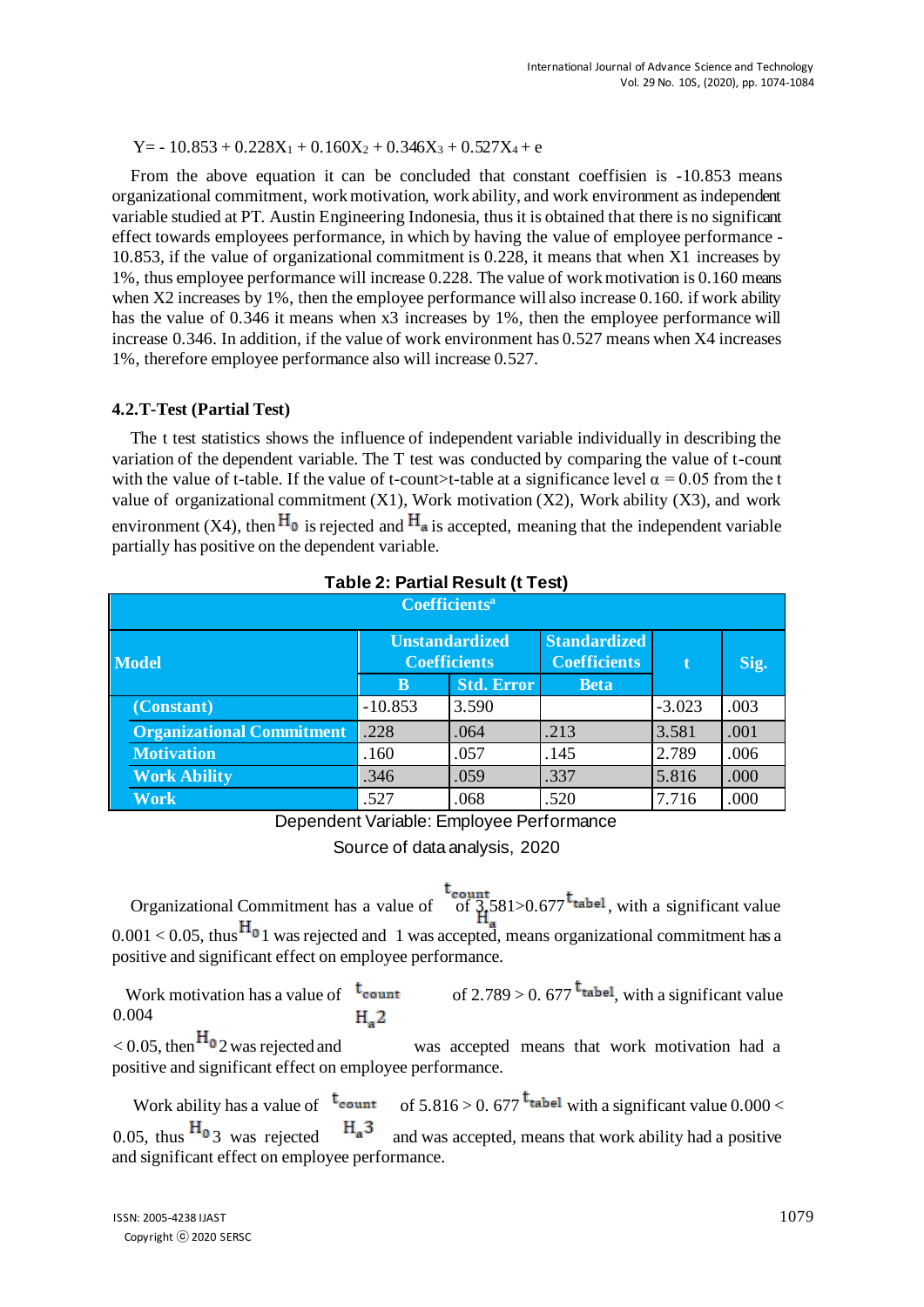$Y=-10.853 + 0.228X_1 + 0.160X_2 + 0.346X_3 + 0.527X_4 + e$ 

From the above equation it can be concluded that constant coeffisien is -10.853 means organizational commitment, work motivation, work ability, and work environment as independent variable studied at PT. Austin Engineering Indonesia, thus it is obtained that there is no significant effect towards employees performance, in which by having the value of employee performance - 10.853, if the value of organizational commitment is 0.228, it means that when X1 increases by 1%, thus employee performance will increase 0.228. The value of work motivation is 0.160 means when X2 increases by 1%, then the employee performance will also increase 0.160. if work ability has the value of 0.346 it means when x3 increases by 1%, then the employee performance will increase 0.346. In addition, if the value of work environment has 0.527 means when X4 increases 1%, therefore employee performance also will increase 0.527.

#### **4.2.T-Test (Partial Test)**

The t test statistics shows the influence of independent variable individually in describing the variation of the dependent variable. The T test was conducted by comparing the value of t-count with the value of t-table. If the value of t-count>t-table at a significance level  $\alpha = 0.05$  from the t value of organizational commitment  $(X1)$ , Work motivation  $(X2)$ , Work ability  $(X3)$ , and work environment (X4), then  $H_0$  is rejected and  $H_a$  is accepted, meaning that the independent variable partially has positive on the dependent variable.

| $1$ able 2. I altial Result (1 Fest) |                                  |                                              |                   |                                            |          |      |  |  |  |  |  |
|--------------------------------------|----------------------------------|----------------------------------------------|-------------------|--------------------------------------------|----------|------|--|--|--|--|--|
| <b>Coefficients<sup>a</sup></b>      |                                  |                                              |                   |                                            |          |      |  |  |  |  |  |
| <b>Model</b>                         |                                  | <b>Unstandardized</b><br><b>Coefficients</b> |                   | <b>Standardized</b><br><b>Coefficients</b> | t.       | Sig. |  |  |  |  |  |
|                                      |                                  | B                                            | <b>Std. Error</b> | <b>Beta</b>                                |          |      |  |  |  |  |  |
|                                      | (Constant)                       | $-10.853$                                    | 3.590             |                                            | $-3.023$ | .003 |  |  |  |  |  |
|                                      | <b>Organizational Commitment</b> | .228                                         | .064              | .213                                       | 3.581    | .001 |  |  |  |  |  |
|                                      | <b>Motivation</b>                | .160                                         | .057              | .145                                       | 2.789    | .006 |  |  |  |  |  |
|                                      | <b>Work Ability</b>              | .346                                         | .059              | .337                                       | 5.816    | .000 |  |  |  |  |  |
|                                      | Work                             | .527                                         | .068              | .520                                       | 7.716    | .000 |  |  |  |  |  |

#### **Table 2: Partial Result (t Test)**

Dependent Variable: Employee Performance

Source of data analysis, 2020

Organizational Commitment has a value of  $\frac{t_{count}}{9}$  581>0.677<sup>t</sup> tabel, with a significant value  $0.001 < 0.05$ , thus  $H_0$  1 was rejected and 1 was accepted, means organizational commitment has a positive and significant effect on employee performance.

Work motivation has a value of  $t_{count}$  of 2.789 > 0.677  $t_{table}$ , with a significant value 0.004  $H<sub>a</sub>2$ 

 $< 0.05$ , then  $\text{H}_{\text{o}}$  2 was rejected and was accepted means that work motivation had a positive and significant effect on employee performance.

Work ability has a value of  $t_{\text{count}}$  of  $5.816 > 0.677$   $t_{\text{table}}$  with a significant value 0.000 < 0.05, thus  $H_0$  3 was rejected  $H_a$ <sup>3</sup> and was accepted, means that work ability had a positive and significant effect on employee performance.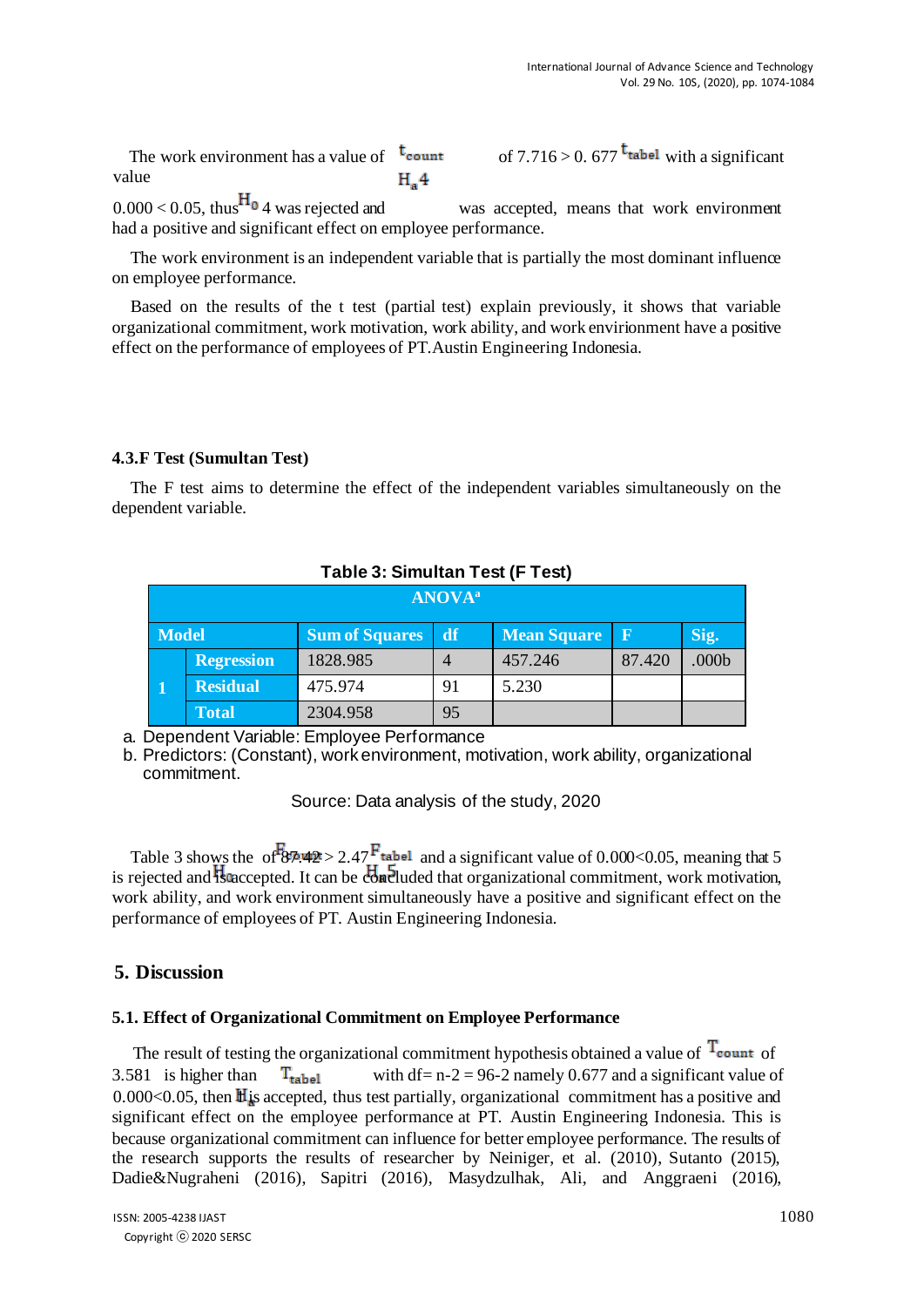The work environment has a value of  $t_{\text{count}}$ value  $H<sub>a</sub>4$ 

of 
$$
7.716 > 0.677
$$
<sup>t<sub>tablel</sub></sup> with a significant

 $0.000 < 0.05$ , thus  $\text{H}_0$  4 was rejected and was accepted, means that work environment had a positive and significant effect on employee performance.

The work environment is an independent variable that is partially the most dominant influence on employee performance.

Based on the results of the t test (partial test) explain previously, it shows that variable organizational commitment, work motivation, work ability, and work envirionment have a positive effect on the performance of employees of PT.Austin Engineering Indonesia.

#### **4.3.F Test (Sumultan Test)**

The F test aims to determine the effect of the independent variables simultaneously on the dependent variable.

| $1$ abic J. Olliutali Test (T<br>ו וסט |                   |                       |    |                    |        |                   |  |  |  |  |  |
|----------------------------------------|-------------------|-----------------------|----|--------------------|--------|-------------------|--|--|--|--|--|
| <b>ANOVA</b> <sup>a</sup>              |                   |                       |    |                    |        |                   |  |  |  |  |  |
| <b>Model</b>                           |                   | <b>Sum of Squares</b> | df | <b>Mean Square</b> | R      | Sig.              |  |  |  |  |  |
|                                        | <b>Regression</b> | 1828.985              |    | 457.246            | 87.420 | .000 <sub>b</sub> |  |  |  |  |  |
| $\blacksquare$                         | <b>Residual</b>   | 475.974               | 91 | 5.230              |        |                   |  |  |  |  |  |
|                                        | <b>Total</b>      | 2304.958              | 95 |                    |        |                   |  |  |  |  |  |

#### **Table 3: Simultan Test (F Test)**

a. Dependent Variable: Employee Performance

b. Predictors: (Constant), work environment, motivation, work ability, organizational commitment.

Source: Data analysis of the study, 2020

Table 3 shows the of  $87.42 > 2.47$  and a significant value of 0.000 < 0.05, meaning that 5 is rejected and **H**accepted. It can be  $\overline{cb}$  and  $\overline{cb}$  and that organizational commitment, work motivation, work ability, and work environment simultaneously have a positive and significant effect on the performance of employees of PT. Austin Engineering Indonesia.

#### **5. Discussion**

#### **5.1. Effect of Organizational Commitment on Employee Performance**

The result of testing the organizational commitment hypothesis obtained a value of  $T_{\text{count of}}$ 3.581 is higher than  $T_{\text{table}}$  with df= n-2 = 96-2 namely 0.677 and a significant value of 0.000 $<$ 0.05, then  $\mathbb{H}$  is accepted, thus test partially, organizational commitment has a positive and significant effect on the employee performance at PT. Austin Engineering Indonesia. This is because organizational commitment can influence for better employee performance. The results of the research supports the results of researcher by Neiniger, et al. (2010), Sutanto (2015), Dadie&Nugraheni (2016), Sapitri (2016), Masydzulhak, Ali, and Anggraeni (2016),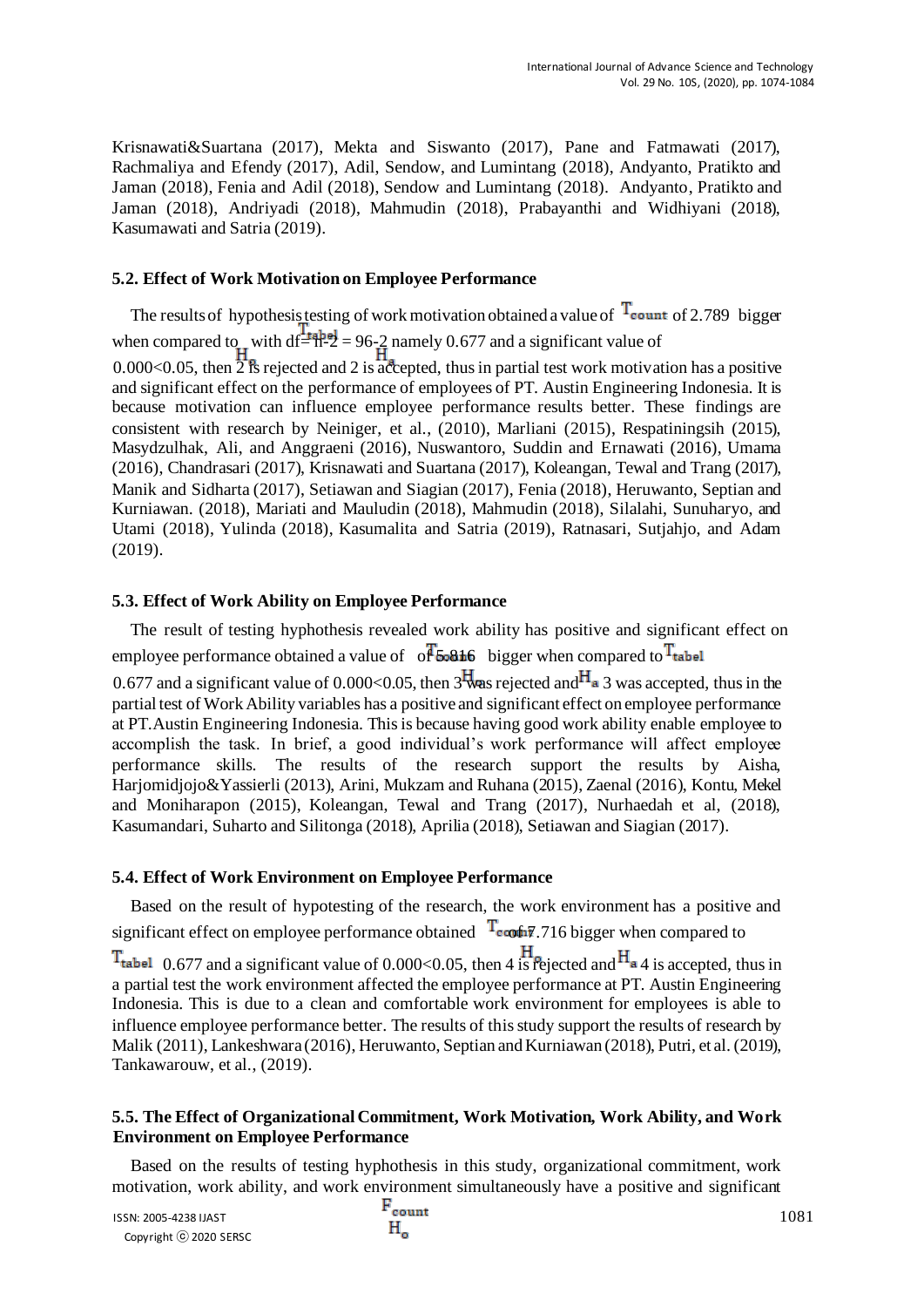Krisnawati&Suartana (2017), Mekta and Siswanto (2017), Pane and Fatmawati (2017), Rachmaliya and Efendy (2017), Adil, Sendow, and Lumintang (2018), Andyanto, Pratikto and Jaman (2018), Fenia and Adil (2018), Sendow and Lumintang (2018). Andyanto, Pratikto and Jaman (2018), Andriyadi (2018), Mahmudin (2018), Prabayanthi and Widhiyani (2018), Kasumawati and Satria (2019).

#### **5.2. Effect of Work Motivation on Employee Performance**

The results of hypothesis testing of work motivation obtained a value of  $T_{count}$  of 2.789 bigger when compared to with  $df = \frac{1}{2}$  = 96-2 namely 0.677 and a significant value of 0.000<0.05, then  $\overrightarrow{2}$  is rejected and 2 is accepted, thus in partial test work motivation has a positive and significant effect on the performance of employees of PT. Austin Engineering Indonesia. It is because motivation can influence employee performance results better. These findings are consistent with research by Neiniger, et al., (2010), Marliani (2015), Respatiningsih (2015), Masydzulhak, Ali, and Anggraeni (2016), Nuswantoro, Suddin and Ernawati (2016), Umama (2016), Chandrasari (2017), Krisnawati and Suartana (2017), Koleangan, Tewal and Trang (2017), Manik and Sidharta (2017), Setiawan and Siagian (2017), Fenia (2018), Heruwanto, Septian and Kurniawan. (2018), Mariati and Mauludin (2018), Mahmudin (2018), Silalahi, Sunuharyo, and Utami (2018), Yulinda (2018), Kasumalita and Satria (2019), Ratnasari, Sutjahjo, and Adam (2019).

#### **5.3. Effect of Work Ability on Employee Performance**

The result of testing hyphothesis revealed work ability has positive and significant effect on employee performance obtained a value of  $\sigma$  $\overline{f}$  5.816 bigger when compared to  $\overline{T}_{\text{table}}$ 

0.677 and a significant value of 0.000<0.05, then 3 was rejected and  $H_a$  3 was accepted, thus in the partial test of Work Ability variables has a positive and significant effect on employee performance at PT.Austin Engineering Indonesia. This is because having good work ability enable employee to accomplish the task. In brief, a good individual's work performance will affect employee performance skills. The results of the research support the results by Aisha, Harjomidjojo&Yassierli (2013), Arini, Mukzam and Ruhana (2015), Zaenal (2016), Kontu, Mekel and Moniharapon (2015), Koleangan, Tewal and Trang (2017), Nurhaedah et al, (2018), Kasumandari, Suharto and Silitonga (2018), Aprilia (2018), Setiawan and Siagian (2017).

#### **5.4. Effect of Work Environment on Employee Performance**

Based on the result of hypotesting of the research, the work environment has a positive and significant effect on employee performance obtained  $\int_{0}^{T} \cos \theta \, d\theta$ , 716 bigger when compared to  $T_{\text{table}}$  0.677 and a significant value of 0.000<0.05, then 4 is rejected and  $H_{\text{a}}$ 4 is accepted, thus in a partial test the work environment affected the employee performance at PT. Austin Engineering Indonesia. This is due to a clean and comfortable work environment for employees is able to influence employee performance better. The results of this study support the results of research by Malik (2011), Lankeshwara (2016), Heruwanto, Septian and Kurniawan (2018), Putri, et al. (2019), Tankawarouw, et al., (2019).

#### **5.5. The Effect of Organizational Commitment, Work Motivation, Work Ability, and Work Environment on Employee Performance**

Based on the results of testing hyphothesis in this study, organizational commitment, work motivation, work ability, and work environment simultaneously have a positive and significant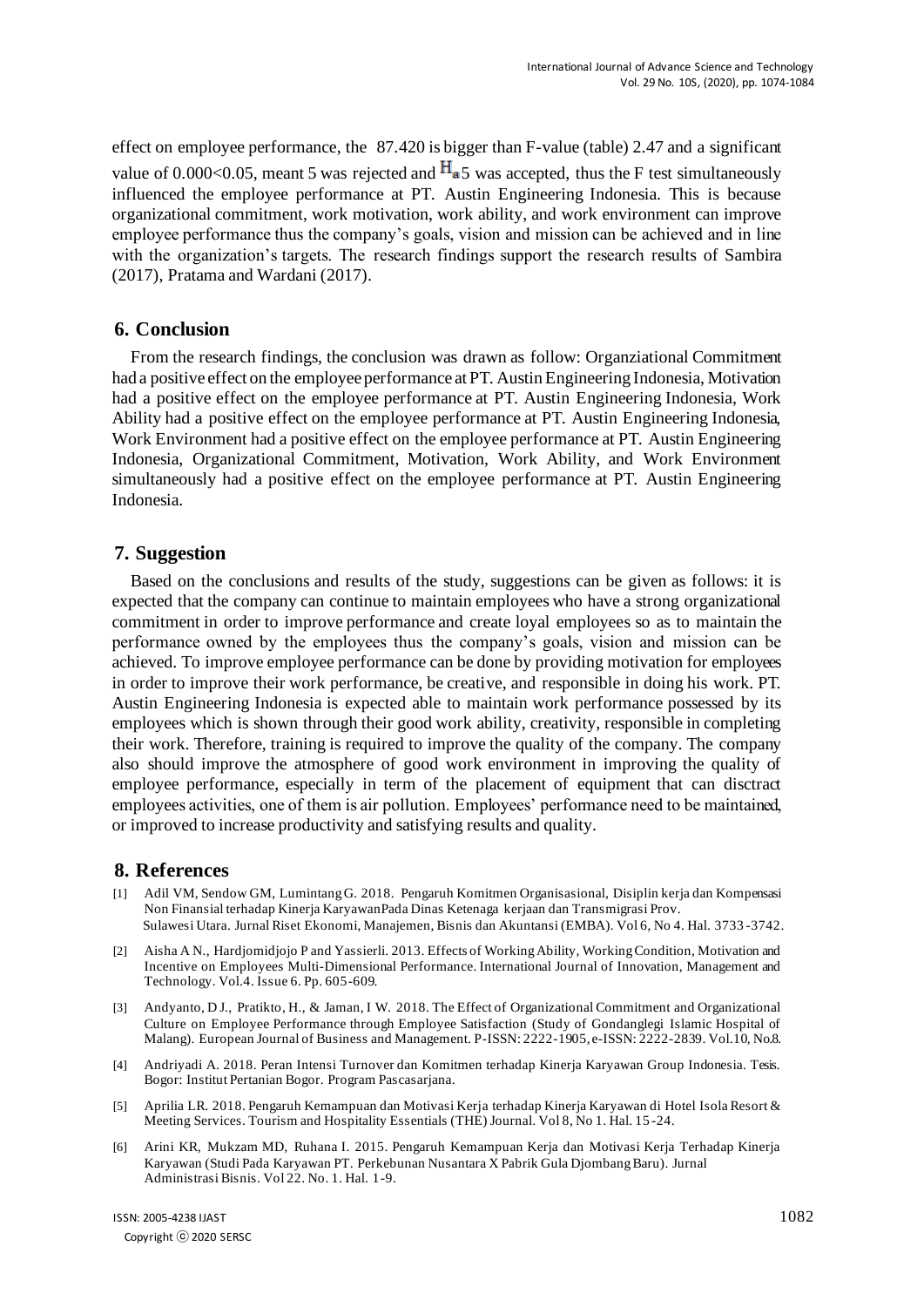effect on employee performance, the 87.420 is bigger than F-value (table) 2.47 and a significant value of 0.000<0.05, meant 5 was rejected and  $H_{a}$ 5 was accepted, thus the F test simultaneously influenced the employee performance at PT. Austin Engineering Indonesia. This is because organizational commitment, work motivation, work ability, and work environment can improve employee performance thus the company's goals, vision and mission can be achieved and in line with the organization's targets. The research findings support the research results of Sambira (2017), Pratama and Wardani (2017).

#### **6. Conclusion**

From the research findings, the conclusion was drawn as follow: Organziational Commitment had a positive effect on the employee performance at PT. Austin Engineering Indonesia, Motivation had a positive effect on the employee performance at PT. Austin Engineering Indonesia, Work Ability had a positive effect on the employee performance at PT. Austin Engineering Indonesia, Work Environment had a positive effect on the employee performance at PT. Austin Engineering Indonesia, Organizational Commitment, Motivation, Work Ability, and Work Environment simultaneously had a positive effect on the employee performance at PT. Austin Engineering Indonesia.

#### **7. Suggestion**

Based on the conclusions and results of the study, suggestions can be given as follows: it is expected that the company can continue to maintain employees who have a strong organizational commitment in order to improve performance and create loyal employees so as to maintain the performance owned by the employees thus the company's goals, vision and mission can be achieved. To improve employee performance can be done by providing motivation for employees in order to improve their work performance, be creative, and responsible in doing his work. PT. Austin Engineering Indonesia is expected able to maintain work performance possessed by its employees which is shown through their good work ability, creativity, responsible in completing their work. Therefore, training is required to improve the quality of the company. The company also should improve the atmosphere of good work environment in improving the quality of employee performance, especially in term of the placement of equipment that can disctract employees activities, one of them is air pollution. Employees' performance need to be maintained, or improved to increase productivity and satisfying results and quality.

#### **8. References**

- [1] Adil VM, Sendow GM, Lumintang G. 2018. Pengaruh Komitmen Organisasional, Disiplin kerja dan Kompensasi Non Finansial terhadap Kinerja KaryawanPada Dinas Ketenaga kerjaan dan Transmigrasi Prov. Sulawesi Utara. Jurnal Riset Ekonomi, Manajemen, Bisnis dan Akuntansi (EMBA). Vol 6, No 4. Hal. 3733 -3742.
- [2] Aisha A N., Hardjomidjojo P and Yassierli. 2013. Effects of Working Ability, Working Condition, Motivation and Incentive on Employees Multi-Dimensional Performance. International Journal of Innovation, Management and Technology. Vol.4. Issue 6. Pp. 605-609.
- [3] Andyanto, D J., Pratikto, H., & Jaman, I W. 2018. The Effect of Organizational Commitment and Organizational Culture on Employee Performance through Employee Satisfaction (Study of Gondanglegi Islamic Hospital of Malang). European Journal of Business and Management. P-ISSN: 2222-1905, e-ISSN: 2222-2839. Vol.10, No.8.
- [4] Andriyadi A. 2018. Peran Intensi Turnover dan Komitmen terhadap Kinerja Karyawan Group Indonesia. Tesis. Bogor: Institut Pertanian Bogor. Program Pascasarjana.
- [5] Aprilia LR. 2018. Pengaruh Kemampuan dan Motivasi Kerja terhadap Kinerja Karyawan di Hotel Isola Resort & Meeting Services. Tourism and Hospitality Essentials (THE) Journal. Vol 8, No 1. Hal. 15 -24.
- [6] Arini KR, Mukzam MD, Ruhana I. 2015. Pengaruh Kemampuan Kerja dan Motivasi Kerja Terhadap Kinerja Karyawan (Studi Pada Karyawan PT. Perkebunan Nusantara X Pabrik Gula Djombang Baru). Jurnal Administrasi Bisnis. Vol 22. No. 1. Hal. 1-9.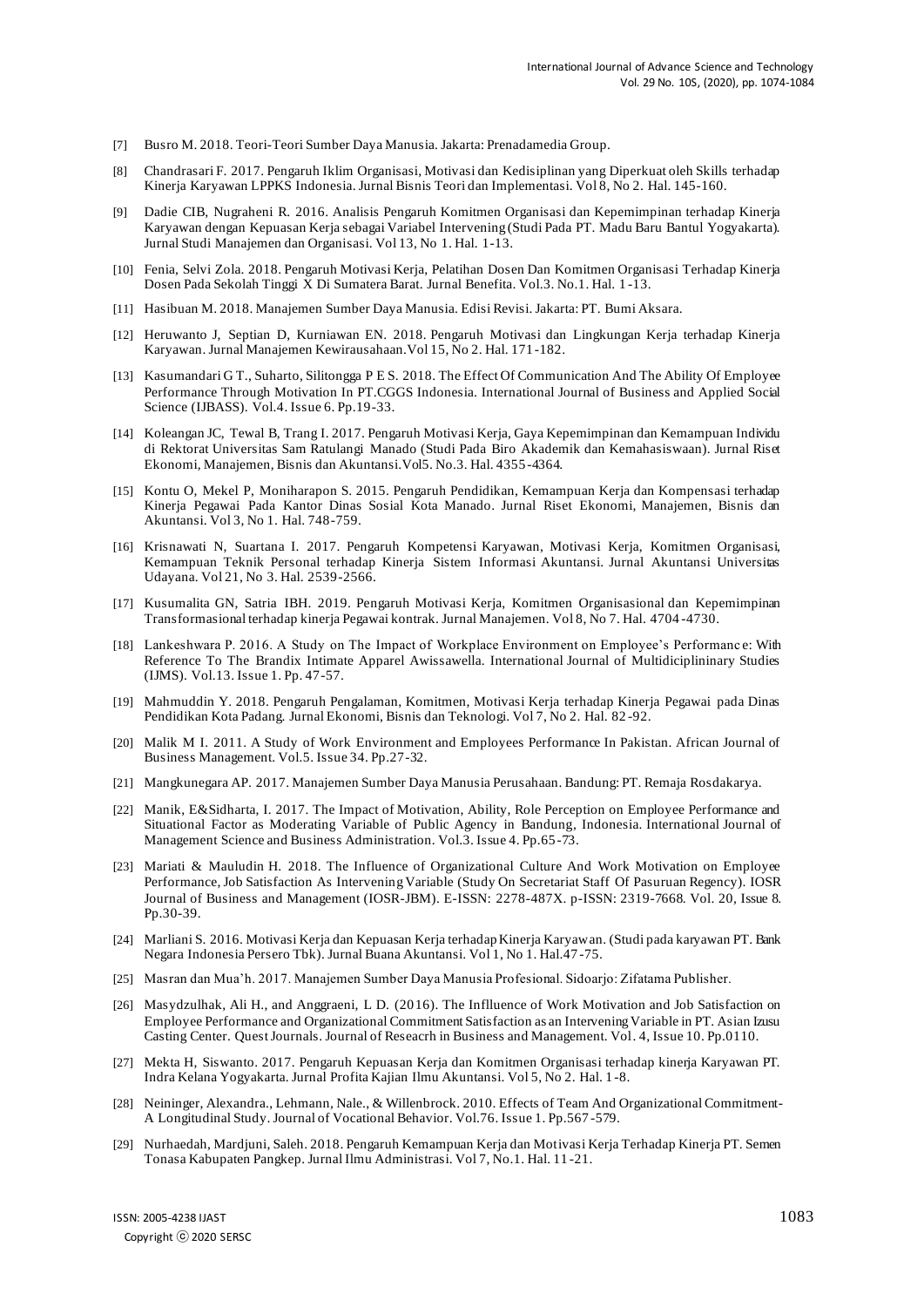- [7] Busro M. 2018. Teori-Teori Sumber Daya Manusia. Jakarta: Prenadamedia Group.
- [8] Chandrasari F. 2017. Pengaruh Iklim Organisasi, Motivasi dan Kedisiplinan yang Diperkuat oleh Skills terhadap Kinerja Karyawan LPPKS Indonesia. Jurnal Bisnis Teori dan Implementasi. Vol 8, No 2. Hal. 145-160.
- [9] Dadie CIB, Nugraheni R. 2016. Analisis Pengaruh Komitmen Organisasi dan Kepemimpinan terhadap Kinerja Karyawan dengan Kepuasan Kerja sebagai Variabel Intervening (Studi Pada PT. Madu Baru Bantul Yogyakarta). Jurnal Studi Manajemen dan Organisasi. Vol 13, No 1. Hal. 1-13.
- [10] Fenia, Selvi Zola. 2018. Pengaruh Motivasi Kerja, Pelatihan Dosen Dan Komitmen Organisasi Terhadap Kinerja Dosen Pada Sekolah Tinggi X Di Sumatera Barat. Jurnal Benefita. Vol.3. No.1. Hal. 1 -13.
- [11] Hasibuan M. 2018. Manajemen Sumber Daya Manusia. Edisi Revisi. Jakarta: PT. Bumi Aksara.
- [12] Heruwanto J, Septian D, Kurniawan EN. 2018. Pengaruh Motivasi dan Lingkungan Kerja terhadap Kinerja Karyawan. Jurnal Manajemen Kewirausahaan.Vol 15, No 2. Hal. 171 -182.
- [13] Kasumandari G T., Suharto, Silitongga P E S. 2018. The Effect Of Communication And The Ability Of Employee Performance Through Motivation In PT.CGGS Indonesia. International Journal of Business and Applied Social Science (IJBASS). Vol.4. Issue 6. Pp.19-33.
- [14] Koleangan JC, Tewal B, Trang I. 2017. Pengaruh Motivasi Kerja, Gaya Kepemimpinan dan Kemampuan Individu di Rektorat Universitas Sam Ratulangi Manado (Studi Pada Biro Akademik dan Kemahasiswaan). Jurnal Riset Ekonomi, Manajemen, Bisnis dan Akuntansi.Vol5. No.3. Hal. 4355 -4364.
- [15] Kontu O, Mekel P, Moniharapon S. 2015. Pengaruh Pendidikan, Kemampuan Kerja dan Kompensasi terhadap Kinerja Pegawai Pada Kantor Dinas Sosial Kota Manado. Jurnal Riset Ekonomi, Manajemen, Bisnis dan Akuntansi. Vol 3, No 1. Hal. 748-759.
- [16] Krisnawati N, Suartana I. 2017. Pengaruh Kompetensi Karyawan, Motivasi Kerja, Komitmen Organisasi, Kemampuan Teknik Personal terhadap Kinerja Sistem Informasi Akuntansi. Jurnal Akuntansi Universitas Udayana. Vol 21, No 3. Hal. 2539-2566.
- [17] Kusumalita GN, Satria IBH. 2019. Pengaruh Motivasi Kerja, Komitmen Organisasional dan Kepemimpinan Transformasional terhadap kinerja Pegawai kontrak. Jurnal Manajemen. Vol 8, No 7. Hal. 4704 -4730.
- [18] Lankeshwara P. 2016. A Study on The Impact of Workplace Environment on Employee's Performanc e: With Reference To The Brandix Intimate Apparel Awissawella. International Journal of Multidiciplininary Studies (IJMS). Vol.13. Issue 1. Pp. 47-57.
- [19] Mahmuddin Y. 2018. Pengaruh Pengalaman, Komitmen, Motivasi Kerja terhadap Kinerja Pegawai pada Dinas Pendidikan Kota Padang. Jurnal Ekonomi, Bisnis dan Teknologi. Vol 7, No 2. Hal. 82 -92.
- [20] Malik M I. 2011. A Study of Work Environment and Employees Performance In Pakistan. African Journal of Business Management. Vol.5. Issue 34. Pp.27-32.
- [21] Mangkunegara AP. 2017. Manajemen Sumber Daya Manusia Perusahaan. Bandung: PT. Remaja Rosdakarya.
- [22] Manik, E&Sidharta, I. 2017. The Impact of Motivation, Ability, Role Perception on Employee Performance and Situational Factor as Moderating Variable of Public Agency in Bandung, Indonesia. International Journal of Management Science and Business Administration. Vol.3. Issue 4. Pp.65 -73.
- [23] Mariati & Mauludin H. 2018. The Influence of Organizational Culture And Work Motivation on Employee Performance, Job Satisfaction As Intervening Variable (Study On Secretariat Staff Of Pasuruan Regency). IOSR Journal of Business and Management (IOSR-JBM). E-ISSN: 2278-487X. p-ISSN: 2319-7668. Vol. 20, Issue 8. Pp.30-39.
- [24] Marliani S. 2016. Motivasi Kerja dan Kepuasan Kerja terhadap Kinerja Karyawan. (Studi pada karyawan PT. Bank Negara Indonesia Persero Tbk). Jurnal Buana Akuntansi. Vol 1, No 1. Hal.47 -75.
- [25] Masran dan Mua'h. 2017. Manajemen Sumber Daya Manusia Profesional. Sidoarjo: Zifatama Publisher.
- [26] Masydzulhak, Ali H., and Anggraeni, L D. (2016). The Inflluence of Work Motivation and Job Satisfaction on Employee Performance and Organizational Commitment Satisfaction as an Intervening Variable in PT. Asian Izusu Casting Center. Quest Journals. Journal of Reseacrh in Business and Management. Vol. 4, Issue 10. Pp.0110.
- [27] Mekta H, Siswanto. 2017. Pengaruh Kepuasan Kerja dan Komitmen Organisasi terhadap kinerja Karyawan PT. Indra Kelana Yogyakarta. Jurnal Profita Kajian Ilmu Akuntansi. Vol 5, No 2. Hal. 1 -8.
- [28] Neininger, Alexandra., Lehmann, Nale., & Willenbrock. 2010. Effects of Team And Organizational Commitment-A Longitudinal Study. Journal of Vocational Behavior. Vol.76. Issue 1. Pp.567 -579.
- [29] Nurhaedah, Mardjuni, Saleh. 2018. Pengaruh Kemampuan Kerja dan Motivasi Kerja Terhadap Kinerja PT. Semen Tonasa Kabupaten Pangkep. Jurnal Ilmu Administrasi. Vol 7, No.1. Hal. 11 -21.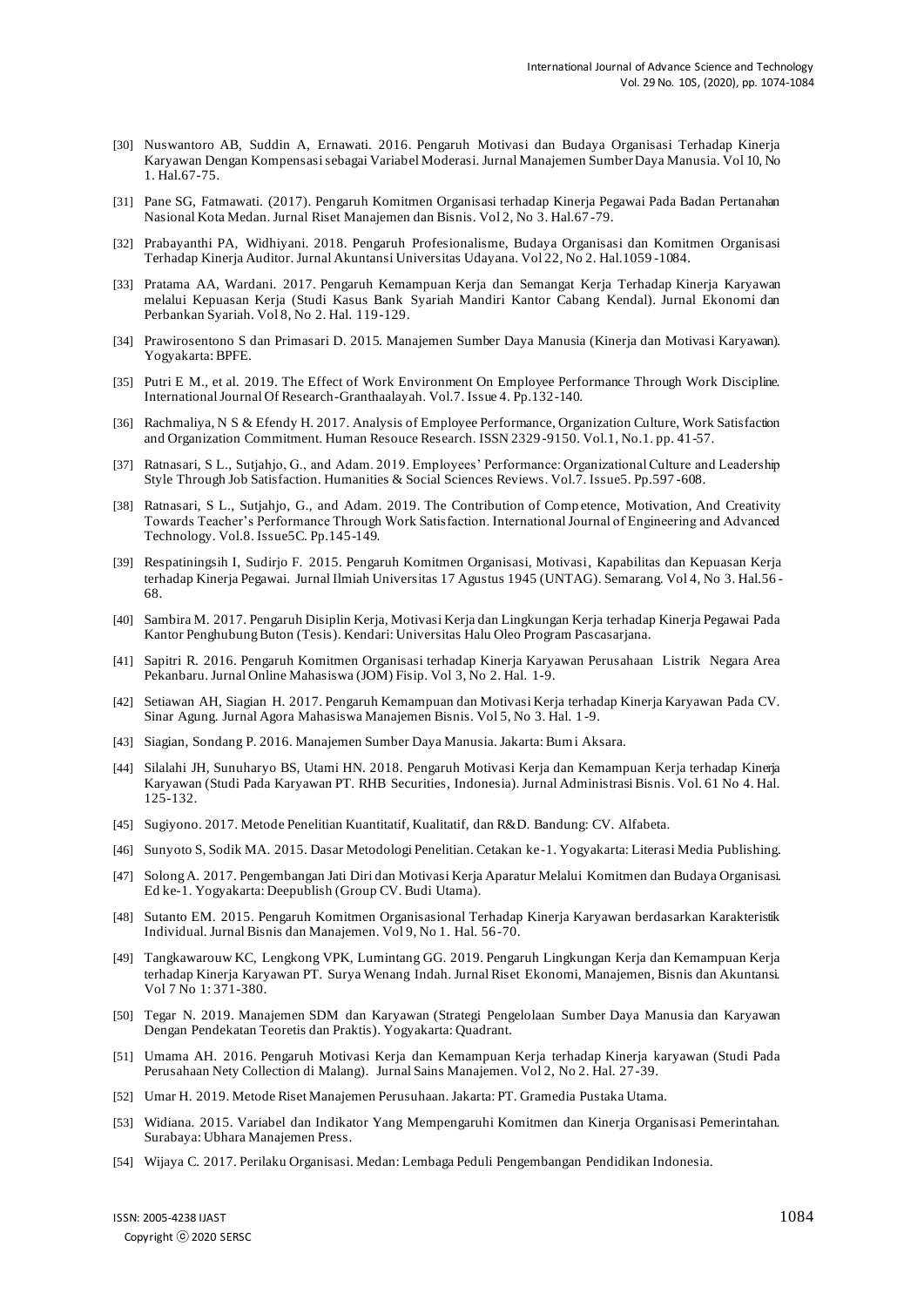- [30] Nuswantoro AB, Suddin A, Ernawati. 2016. Pengaruh Motivasi dan Budaya Organisasi Terhadap Kinerja Karyawan Dengan Kompensasi sebagai Variabel Moderasi. Jurnal Manajemen Sumber Daya Manusia. Vol 10, No 1. Hal.67-75.
- [31] Pane SG, Fatmawati. (2017). Pengaruh Komitmen Organisasi terhadap Kinerja Pegawai Pada Badan Pertanahan Nasional Kota Medan. Jurnal Riset Manajemen dan Bisnis. Vol 2, No 3. Hal.67 -79.
- [32] Prabayanthi PA, Widhiyani. 2018. Pengaruh Profesionalisme, Budaya Organisasi dan Komitmen Organisasi Terhadap Kinerja Auditor. Jurnal Akuntansi Universitas Udayana. Vol 22, No 2. Hal.1059 -1084.
- [33] Pratama AA, Wardani. 2017. Pengaruh Kemampuan Kerja dan Semangat Kerja Terhadap Kinerja Karyawan melalui Kepuasan Kerja (Studi Kasus Bank Syariah Mandiri Kantor Cabang Kendal). Jurnal Ekonomi dan Perbankan Syariah. Vol 8, No 2. Hal. 119-129.
- [34] Prawirosentono S dan Primasari D. 2015. Manajemen Sumber Daya Manusia (Kinerja dan Motivasi Karyawan). Yogyakarta: BPFE.
- [35] Putri E M., et al. 2019. The Effect of Work Environment On Employee Performance Through Work Discipline. International Journal Of Research-Granthaalayah. Vol.7. Issue 4. Pp.132-140.
- [36] Rachmaliya, N S & Efendy H. 2017. Analysis of Employee Performance, Organization Culture, Work Satisfaction and Organization Commitment. Human Resouce Research. ISSN 2329 -9150. Vol.1, No.1. pp. 41-57.
- [37] Ratnasari, S L., Sutjahjo, G., and Adam. 2019. Employees' Performance: Organizational Culture and Leadership Style Through Job Satisfaction. Humanities & Social Sciences Reviews. Vol.7. Issue5. Pp.597 -608.
- [38] Ratnasari, S L., Sutjahjo, G., and Adam. 2019. The Contribution of Comp etence, Motivation, And Creativity Towards Teacher's Performance Through Work Satisfaction. International Journal of Engineering and Advanced Technology. Vol.8. Issue5C. Pp.145-149.
- [39] Respatiningsih I, Sudirjo F. 2015. Pengaruh Komitmen Organisasi, Motivasi, Kapabilitas dan Kepuasan Kerja terhadap Kinerja Pegawai. Jurnal Ilmiah Universitas 17 Agustus 1945 (UNTAG). Semarang. Vol 4, No 3. Hal.56 - 68.
- [40] Sambira M. 2017. Pengaruh Disiplin Kerja, Motivasi Kerja dan Lingkungan Kerja terhadap Kinerja Pegawai Pada Kantor Penghubung Buton (Tesis). Kendari: Universitas Halu Oleo Program Pascasarjana.
- [41] Sapitri R. 2016. Pengaruh Komitmen Organisasi terhadap Kinerja Karyawan Perusahaan Listrik Negara Area Pekanbaru. Jurnal Online Mahasiswa (JOM) Fisip. Vol 3, No 2. Hal. 1-9.
- [42] Setiawan AH, Siagian H. 2017. Pengaruh Kemampuan dan Motivasi Kerja terhadap Kinerja Karyawan Pada CV. Sinar Agung. Jurnal Agora Mahasiswa Manajemen Bisnis. Vol 5, No 3. Hal. 1 -9.
- [43] Siagian, Sondang P. 2016. Manajemen Sumber Daya Manusia. Jakarta: Bumi Aksara.
- [44] Silalahi JH, Sunuharyo BS, Utami HN. 2018. Pengaruh Motivasi Kerja dan Kemampuan Kerja terhadap Kinerja Karyawan (Studi Pada Karyawan PT. RHB Securities, Indonesia). Jurnal Administrasi Bisnis. Vol. 61 No 4. Hal. 125-132.
- [45] Sugiyono. 2017. Metode Penelitian Kuantitatif, Kualitatif, dan R&D. Bandung: CV. Alfabeta.
- [46] Sunyoto S, Sodik MA. 2015. Dasar Metodologi Penelitian. Cetakan ke-1. Yogyakarta: Literasi Media Publishing.
- [47] Solong A. 2017. Pengembangan Jati Diri dan Motivasi Kerja Aparatur Melalui Komitmen dan Budaya Organisasi. Ed ke-1. Yogyakarta: Deepublish (Group CV. Budi Utama).
- [48] Sutanto EM. 2015. Pengaruh Komitmen Organisasional Terhadap Kinerja Karyawan berdasarkan Karakteristik Individual. Jurnal Bisnis dan Manajemen. Vol 9, No 1. Hal. 56-70.
- [49] Tangkawarouw KC, Lengkong VPK, Lumintang GG. 2019. Pengaruh Lingkungan Kerja dan Kemampuan Kerja terhadap Kinerja Karyawan PT. Surya Wenang Indah. Jurnal Riset Ekonomi, Manajemen, Bisnis dan Akuntansi. Vol 7 No 1: 371-380.
- [50] Tegar N. 2019. Manajemen SDM dan Karyawan (Strategi Pengelolaan Sumber Daya Manusia dan Karyawan Dengan Pendekatan Teoretis dan Praktis). Yogyakarta: Quadrant.
- [51] Umama AH. 2016. Pengaruh Motivasi Kerja dan Kemampuan Kerja terhadap Kinerja karyawan (Studi Pada Perusahaan Nety Collection di Malang). Jurnal Sains Manajemen. Vol 2, No 2. Hal. 27-39.
- [52] Umar H. 2019. Metode Riset Manajemen Perusuhaan. Jakarta: PT. Gramedia Pustaka Utama.
- [53] Widiana. 2015. Variabel dan Indikator Yang Mempengaruhi Komitmen dan Kinerja Organisasi Pemerintahan. Surabaya: Ubhara Manajemen Press.
- [54] Wijaya C. 2017. Perilaku Organisasi. Medan: Lembaga Peduli Pengembangan Pendidikan Indonesia.